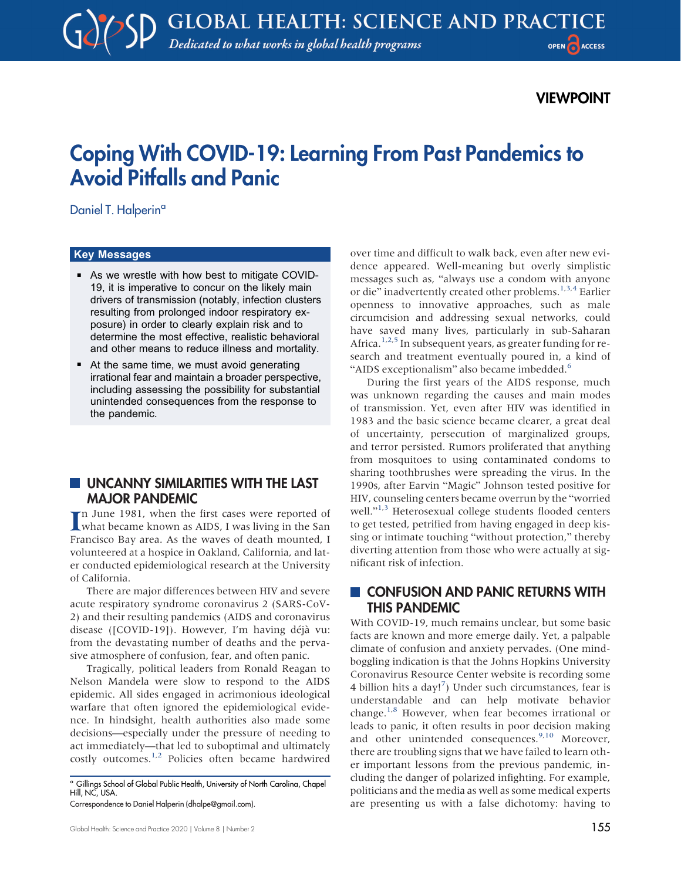# VIEWPOINT

# Coping With COVID-19: Learning From Past Pandemics to Avoid Pitfalls and Panic

Daniel T. Halperin<sup>a</sup>

#### Key Messages

- As we wrestle with how best to mitigate COVID-19, it is imperative to concur on the likely main drivers of transmission (notably, infection clusters resulting from prolonged indoor respiratory exposure) in order to clearly explain risk and to determine the most effective, realistic behavioral and other means to reduce illness and mortality.
- At the same time, we must avoid generating irrational fear and maintain a broader perspective, including assessing the possibility for substantial unintended consequences from the response to the pandemic.

#### UNCANNY SIMILARITIES WITH THE LAST MAJOR PANDEMIC

In June 1981, when the first cases were reported of what became known as AIDS, I was living in the San n June 1981, when the first cases were reported of Francisco Bay area. As the waves of death mounted, I volunteered at a hospice in Oakland, California, and later conducted epidemiological research at the University of California.

There are major differences between HIV and severe acute respiratory syndrome coronavirus 2 (SARS-CoV-2) and their resulting pandemics (AIDS and coronavirus disease ([COVID-19]). However, I'm having déjà vu: from the devastating number of deaths and the pervasive atmosphere of confusion, fear, and often panic.

Tragically, political leaders from Ronald Reagan to Nelson Mandela were slow to respond to the AIDS epidemic. All sides engaged in acrimonious ideological warfare that often ignored the epidemiological evidence. In hindsight, health authorities also made some decisions—especially under the pressure of needing to act immediately—that led to suboptimal and ultimately costly outcomes.<sup>1,[2](#page-6-1)</sup> Policies often became hardwired

<sup>a</sup> Gillings School of Global Public Health, University of North Carolina, Chapel Hill, NC, USA.

over time and difficult to walk back, even after new evidence appeared. Well-meaning but overly simplistic messages such as, "always use a condom with anyone or die" inadvertently created other problems.<sup>[1](#page-6-0)[,3](#page-6-2)[,4](#page-6-3)</sup> Earlier openness to innovative approaches, such as male circumcision and addressing sexual networks, could have saved many lives, particularly in sub-Saharan Africa.<sup>[1,](#page-6-0)[2,](#page-6-1)[5](#page-6-4)</sup> In subsequent years, as greater funding for research and treatment eventually poured in, a kind of "AIDS exceptionalism" also became imbedded.<sup>[6](#page-6-5)</sup>

During the first years of the AIDS response, much was unknown regarding the causes and main modes of transmission. Yet, even after HIV was identified in 1983 and the basic science became clearer, a great deal of uncertainty, persecution of marginalized groups, and terror persisted. Rumors proliferated that anything from mosquitoes to using contaminated condoms to sharing toothbrushes were spreading the virus. In the 1990s, after Earvin "Magic" Johnson tested positive for HIV, counseling centers became overrun by the "worried well."<sup>[1,](#page-6-0)[3](#page-6-2)</sup> Heterosexual college students flooded centers to get tested, petrified from having engaged in deep kissing or intimate touching "without protection," thereby diverting attention from those who were actually at significant risk of infection.

## CONFUSION AND PANIC RETURNS WITH THIS PANDEMIC

With COVID-19, much remains unclear, but some basic facts are known and more emerge daily. Yet, a palpable climate of confusion and anxiety pervades. (One mindboggling indication is that the Johns Hopkins University Coronavirus Resource Center website is recording some 4 billion hits a day!<sup>[7](#page-6-6)</sup>) Under such circumstances, fear is understandable and can help motivate behavior change.<sup>[1](#page-6-0)[,8](#page-6-7)</sup> However, when fear becomes irrational or leads to panic, it often results in poor decision making and other unintended consequences.<sup>9[,10](#page-6-9)</sup> Moreover, there are troubling signs that we have failed to learn other important lessons from the previous pandemic, including the danger of polarized infighting. For example, politicians and the media as well as some medical experts are presenting us with a false dichotomy: having to

Correspondence to Daniel Halperin [\(dhalpe@gmail.com\)](mailto:dhalpe@gmail.com).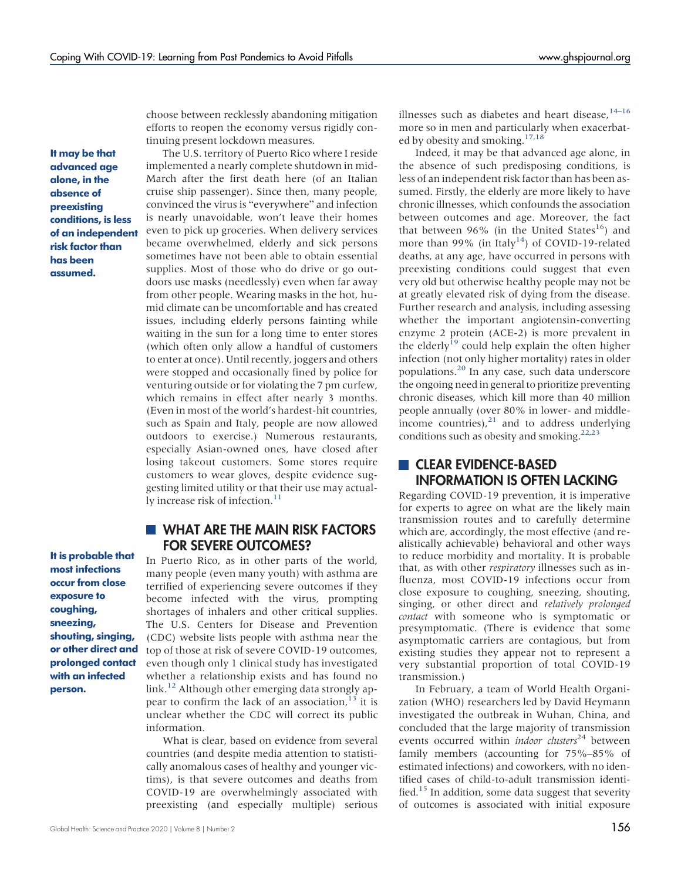choose between recklessly abandoning mitigation efforts to reopen the economy versus rigidly continuing present lockdown measures.

It may be that advanced age alone, in the absence of preexisting conditions, is less of an independent risk factor than has been assumed.

The U.S. territory of Puerto Rico where I reside implemented a nearly complete shutdown in mid-March after the first death here (of an Italian cruise ship passenger). Since then, many people, convinced the virus is "everywhere" and infection is nearly unavoidable, won't leave their homes even to pick up groceries. When delivery services became overwhelmed, elderly and sick persons sometimes have not been able to obtain essential supplies. Most of those who do drive or go outdoors use masks (needlessly) even when far away from other people. Wearing masks in the hot, humid climate can be uncomfortable and has created issues, including elderly persons fainting while waiting in the sun for a long time to enter stores (which often only allow a handful of customers to enter at once). Until recently, joggers and others were stopped and occasionally fined by police for venturing outside or for violating the 7 pm curfew, which remains in effect after nearly 3 months. (Even in most of the world's hardest-hit countries, such as Spain and Italy, people are now allowed outdoors to exercise.) Numerous restaurants, especially Asian-owned ones, have closed after losing takeout customers. Some stores require customers to wear gloves, despite evidence suggesting limited utility or that their use may actual-ly increase risk of infection.<sup>[11](#page-6-10)</sup>

#### It is probable that most infections occur from close exposure to coughing, sneezing, shouting, singing, or other direct and prolonged contact with an infected

person.

#### **WHAT ARE THE MAIN RISK FACTORS** FOR SEVERE OUTCOMES?

In Puerto Rico, as in other parts of the world, many people (even many youth) with asthma are terrified of experiencing severe outcomes if they become infected with the virus, prompting shortages of inhalers and other critical supplies. The U.S. Centers for Disease and Prevention (CDC) website lists people with asthma near the top of those at risk of severe COVID-19 outcomes, even though only 1 clinical study has investigated whether a relationship exists and has found no link.<sup>12</sup> Although other emerging data strongly appear to confirm the lack of an association, $13$  it is unclear whether the CDC will correct its public information.

What is clear, based on evidence from several countries (and despite media attention to statistically anomalous cases of healthy and younger victims), is that severe outcomes and deaths from COVID-19 are overwhelmingly associated with preexisting (and especially multiple) serious

Indeed, it may be that advanced age alone, in the absence of such predisposing conditions, is less of an independent risk factor than has been assumed. Firstly, the elderly are more likely to have chronic illnesses, which confounds the association between outcomes and age. Moreover, the fact that between 96% (in the United States<sup>[16](#page-6-14)</sup>) and more than 99% (in Italy<sup>14</sup>) of COVID-19-related deaths, at any age, have occurred in persons with preexisting conditions could suggest that even very old but otherwise healthy people may not be at greatly elevated risk of dying from the disease. Further research and analysis, including assessing whether the important angiotensin-converting enzyme 2 protein (ACE-2) is more prevalent in the elderly<sup>19</sup> could help explain the often higher infection (not only higher mortality) rates in older populations.[20](#page-7-0) In any case, such data underscore the ongoing need in general to prioritize preventing chronic diseases, which kill more than 40 million people annually (over 80% in lower- and middleincome countries), $^{21}$  $^{21}$  $^{21}$  and to address underlying conditions such as obesity and smoking. $22,23$  $22,23$ 

## **CLEAR EVIDENCE-BASED** INFORMATION IS OFTEN LACKING

Regarding COVID-19 prevention, it is imperative for experts to agree on what are the likely main transmission routes and to carefully determine which are, accordingly, the most effective (and realistically achievable) behavioral and other ways to reduce morbidity and mortality. It is probable that, as with other respiratory illnesses such as influenza, most COVID-19 infections occur from close exposure to coughing, sneezing, shouting, singing, or other direct and relatively prolonged contact with someone who is symptomatic or presymptomatic. (There is evidence that some asymptomatic carriers are contagious, but from existing studies they appear not to represent a very substantial proportion of total COVID-19 transmission.)

In February, a team of World Health Organization (WHO) researchers led by David Heymann investigated the outbreak in Wuhan, China, and concluded that the large majority of transmission events occurred within *indoor clusters*<sup>[24](#page-7-4)</sup> between family members (accounting for 75%–85% of estimated infections) and coworkers, with no identified cases of child-to-adult transmission identified.<sup>15</sup> In addition, some data suggest that severity of outcomes is associated with initial exposure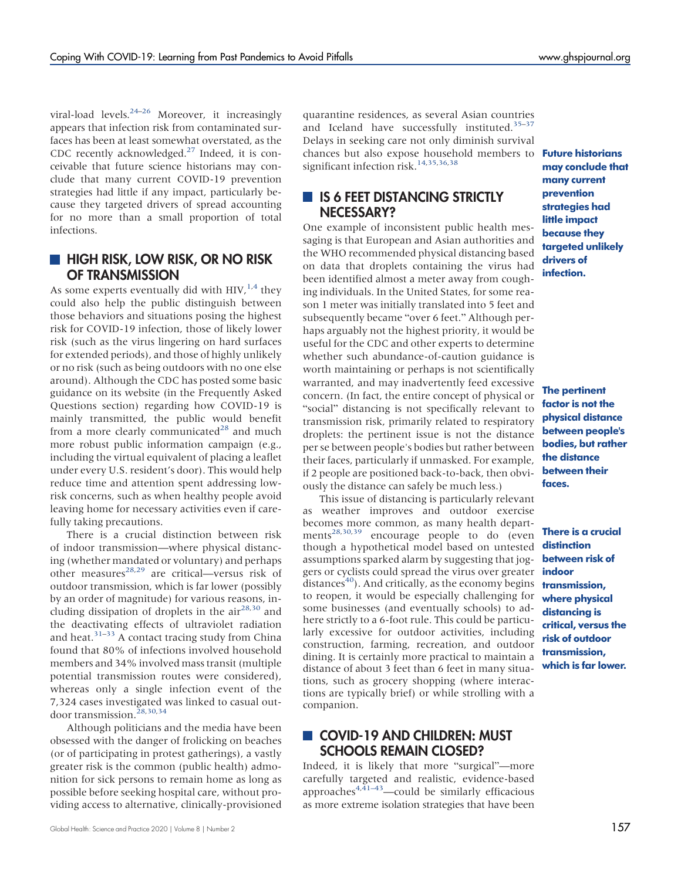viral-load levels. $24-26$  $24-26$  $24-26$  Moreover, it increasingly appears that infection risk from contaminated surfaces has been at least somewhat overstated, as the CDC recently acknowledged. $27$  Indeed, it is conceivable that future science historians may conclude that many current COVID-19 prevention strategies had little if any impact, particularly because they targeted drivers of spread accounting for no more than a small proportion of total infections.

## **HIGH RISK, LOW RISK, OR NO RISK** OF TRANSMISSION

As some experts eventually did with  $HIV<sub>1,4</sub>$  $HIV<sub>1,4</sub>$  $HIV<sub>1,4</sub>$  $HIV<sub>1,4</sub>$  they could also help the public distinguish between those behaviors and situations posing the highest risk for COVID-19 infection, those of likely lower risk (such as the virus lingering on hard surfaces for extended periods), and those of highly unlikely or no risk (such as being outdoors with no one else around). Although the CDC has posted some basic guidance on its website (in the Frequently Asked Questions section) regarding how COVID-19 is mainly transmitted, the public would benefit from a more clearly communicated $^{28}$  $^{28}$  $^{28}$  and much more robust public information campaign (e.g., including the virtual equivalent of placing a leaflet under every U.S. resident's door). This would help reduce time and attention spent addressing lowrisk concerns, such as when healthy people avoid leaving home for necessary activities even if carefully taking precautions.

There is a crucial distinction between risk of indoor transmission—where physical distancing (whether mandated or voluntary) and perhaps other measures<sup>[28,](#page-7-7)[29](#page-7-8)</sup> are critical—versus risk of outdoor transmission, which is far lower (possibly by an order of magnitude) for various reasons, including dissipation of droplets in the  $air^{28,30}$  $air^{28,30}$  $air^{28,30}$  $air^{28,30}$  and the deactivating effects of ultraviolet radiation and heat.<sup>[31](#page-7-10)–[33](#page-7-11)</sup> A contact tracing study from China found that 80% of infections involved household members and 34% involved mass transit (multiple potential transmission routes were considered), whereas only a single infection event of the 7,324 cases investigated was linked to casual out-door transmission.<sup>[28,](#page-7-7)[30](#page-7-9)[,34](#page-7-12)</sup>

Although politicians and the media have been obsessed with the danger of frolicking on beaches (or of participating in protest gatherings), a vastly greater risk is the common (public health) admonition for sick persons to remain home as long as possible before seeking hospital care, without providing access to alternative, clinically-provisioned

quarantine residences, as several Asian countries and Iceland have successfully instituted.<sup>[35](#page-7-13)-[37](#page-7-14)</sup> Delays in seeking care not only diminish survival chances but also expose household members to significant infection risk.<sup>[14,](#page-6-13)[35](#page-7-13)[,36](#page-7-15)[,38](#page-7-16)</sup>

# **IS 6 FEET DISTANCING STRICTLY** NECESSARY?

One example of inconsistent public health messaging is that European and Asian authorities and the WHO recommended physical distancing based on data that droplets containing the virus had been identified almost a meter away from coughing individuals. In the United States, for some reason 1 meter was initially translated into 5 feet and subsequently became "over 6 feet." Although perhaps arguably not the highest priority, it would be useful for the CDC and other experts to determine whether such abundance-of-caution guidance is worth maintaining or perhaps is not scientifically warranted, and may inadvertently feed excessive concern. (In fact, the entire concept of physical or "social" distancing is not specifically relevant to transmission risk, primarily related to respiratory droplets: the pertinent issue is not the distance per se between people's bodies but rather between their faces, particularly if unmasked. For example, if 2 people are positioned back-to-back, then obviously the distance can safely be much less.)

This issue of distancing is particularly relevant as weather improves and outdoor exercise becomes more common, as many health depart-ments<sup>[28](#page-7-7)[,30,](#page-7-9)[39](#page-7-17)</sup> encourage people to do (even though a hypothetical model based on untested assumptions sparked alarm by suggesting that joggers or cyclists could spread the virus over greater distances<sup>40</sup>). And critically, as the economy begins to reopen, it would be especially challenging for some businesses (and eventually schools) to adhere strictly to a 6-foot rule. This could be particularly excessive for outdoor activities, including construction, farming, recreation, and outdoor dining. It is certainly more practical to maintain a distance of about 3 feet than 6 feet in many situations, such as grocery shopping (where interactions are typically brief) or while strolling with a companion.

# COVID-19 AND CHILDREN: MUST SCHOOLS REMAIN CLOSED?

Indeed, it is likely that more "surgical"—more carefully targeted and realistic, evidence-based approaches<sup>[4,](#page-6-3)[41](#page-7-19)–[43](#page-7-20)</sup>—could be similarly efficacious as more extreme isolation strategies that have been

Future historians may conclude that many current prevention strategies had little impact because they taraeted unlikely drivers of infection.

The pertinent factor is not the physical distance between people's bodies, but rather the distance between their faces.

There is a crucial distinction between risk of indoor transmission, where physical distancing is critical, versus the risk of outdoor transmission, which is far lower.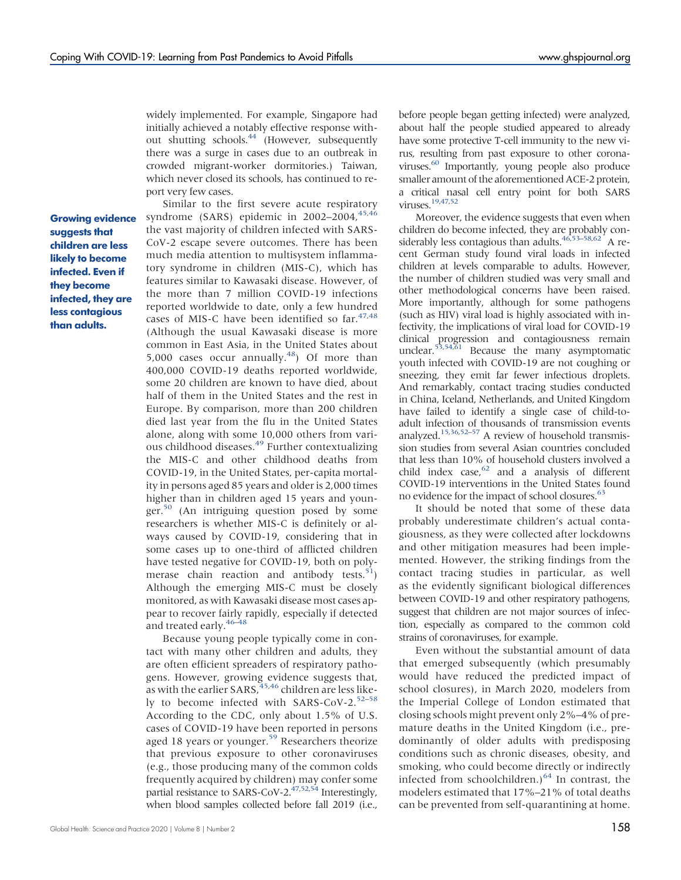widely implemented. For example, Singapore had initially achieved a notably effective response without shutting schools.<sup>44</sup> (However, subsequently there was a surge in cases due to an outbreak in crowded migrant-worker dormitories.) Taiwan, which never closed its schools, has continued to report very few cases.

Growing evidence suggests that children are less likely to become infected. Even if they become infected, they are less contagious than adults.

Similar to the first severe acute respiratory syndrome (SARS) epidemic in  $2002-2004$ ,  $45,46$  $45,46$ the vast majority of children infected with SARS-CoV-2 escape severe outcomes. There has been much media attention to multisystem inflammatory syndrome in children (MIS-C), which has features similar to Kawasaki disease. However, of the more than 7 million COVID-19 infections reported worldwide to date, only a few hundred cases of MIS-C have been identified so far.<sup>47,[48](#page-7-25)</sup> (Although the usual Kawasaki disease is more common in East Asia, in the United States about 5,000 cases occur annually. $48$ ) Of more than 400,000 COVID-19 deaths reported worldwide, some 20 children are known to have died, about half of them in the United States and the rest in Europe. By comparison, more than 200 children died last year from the flu in the United States alone, along with some 10,000 others from various childhood diseases.<sup>49</sup> Further contextualizing the MIS-C and other childhood deaths from COVID-19, in the United States, per-capita mortality in persons aged 85 years and older is 2,000 times higher than in children aged 15 years and younger. $50$  (An intriguing question posed by some researchers is whether MIS-C is definitely or always caused by COVID-19, considering that in some cases up to one-third of afflicted children have tested negative for COVID-19, both on polymerase chain reaction and antibody tests.<sup>51</sup>) Although the emerging MIS-C must be closely monitored, as with Kawasaki disease most cases appear to recover fairly rapidly, especially if detected and treated early[.46](#page-7-23)–[48](#page-7-25)

Because young people typically come in contact with many other children and adults, they are often efficient spreaders of respiratory pathogens. However, growing evidence suggests that, as with the earlier SARS, <sup>[45](#page-7-22)[,46](#page-7-23)</sup> children are less likely to become infected with SARS-CoV-2. $52-58$  $52-58$  $52-58$ According to the CDC, only about 1.5% of U.S. cases of COVID-19 have been reported in persons aged 18 years or younger.<sup>[59](#page-8-2)</sup> Researchers theorize that previous exposure to other coronaviruses (e.g., those producing many of the common colds frequently acquired by children) may confer some partial resistance to SARS-CoV-2.<sup>47[,52](#page-8-0)[,54](#page-8-3)</sup> Interestingly, when blood samples collected before fall 2019 (i.e., before people began getting infected) were analyzed, about half the people studied appeared to already have some protective T-cell immunity to the new virus, resulting from past exposure to other coronaviruses[.60](#page-8-4) Importantly, young people also produce smaller amount of the aforementioned ACE-2 protein, a critical nasal cell entry point for both SARS viruses[.19](#page-6-17)[,47](#page-7-24)[,52](#page-8-0)

Moreover, the evidence suggests that even when children do become infected, they are probably con-siderably less contagious than adults.<sup>46,[53](#page-8-5)–[58](#page-8-1)[,62](#page-8-6)</sup> A recent German study found viral loads in infected children at levels comparable to adults. However, the number of children studied was very small and other methodological concerns have been raised. More importantly, although for some pathogens (such as HIV) viral load is highly associated with infectivity, the implications of viral load for COVID-19 clinical progression and contagiousness remain unclear.<sup>[53,](#page-8-5)[54](#page-8-3)[,61](#page-8-7)</sup> Because the many asymptomatic youth infected with COVID-19 are not coughing or sneezing, they emit far fewer infectious droplets. And remarkably, contact tracing studies conducted in China, Iceland, Netherlands, and United Kingdom have failed to identify a single case of child-toadult infection of thousands of transmission events analyzed.<sup>15[,36](#page-7-15)[,52](#page-8-0)–[57](#page-8-8)</sup> A review of household transmission studies from several Asian countries concluded that less than 10% of household clusters involved a child index case, $62$  and a analysis of different COVID-19 interventions in the United States found no evidence for the impact of school closures.<sup>63</sup>

It should be noted that some of these data probably underestimate children's actual contagiousness, as they were collected after lockdowns and other mitigation measures had been implemented. However, the striking findings from the contact tracing studies in particular, as well as the evidently significant biological differences between COVID-19 and other respiratory pathogens, suggest that children are not major sources of infection, especially as compared to the common cold strains of coronaviruses, for example.

Even without the substantial amount of data that emerged subsequently (which presumably would have reduced the predicted impact of school closures), in March 2020, modelers from the Imperial College of London estimated that closing schools might prevent only 2%–4% of premature deaths in the United Kingdom (i.e., predominantly of older adults with predisposing conditions such as chronic diseases, obesity, and smoking, who could become directly or indirectly infected from schoolchildren.) $64$  In contrast, the modelers estimated that 17%–21% of total deaths can be prevented from self-quarantining at home.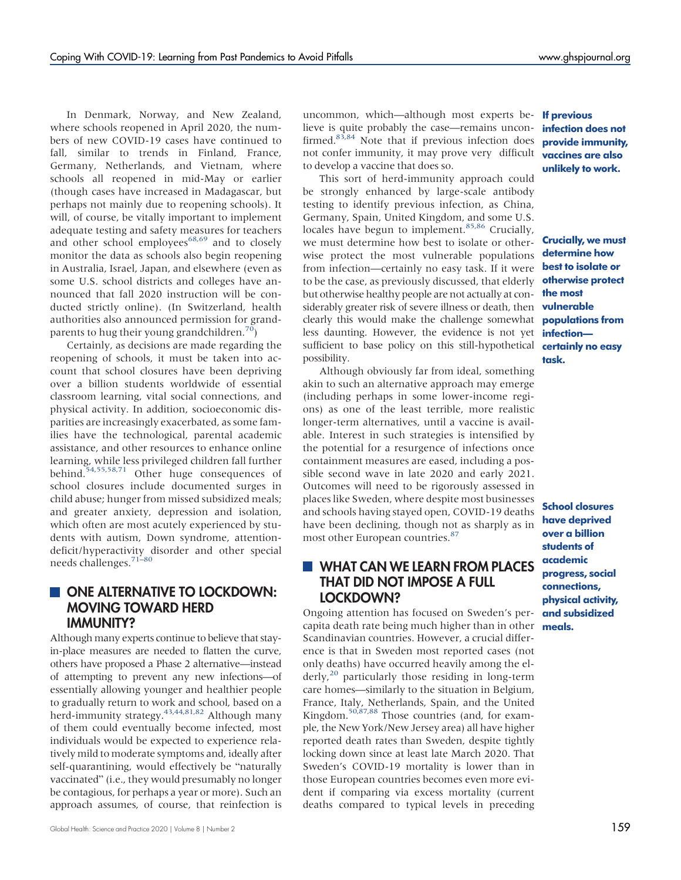In Denmark, Norway, and New Zealand, where schools reopened in April 2020, the numbers of new COVID-19 cases have continued to fall, similar to trends in Finland, France, Germany, Netherlands, and Vietnam, where schools all reopened in mid-May or earlier (though cases have increased in Madagascar, but perhaps not mainly due to reopening schools). It will, of course, be vitally important to implement adequate testing and safety measures for teachers and other school employees $68,69$  $68,69$  and to closely monitor the data as schools also begin reopening in Australia, Israel, Japan, and elsewhere (even as some U.S. school districts and colleges have announced that fall 2020 instruction will be conducted strictly online). (In Switzerland, health authorities also announced permission for grand-parents to hug their young grandchildren.<sup>[70](#page-8-13)</sup>)

Certainly, as decisions are made regarding the reopening of schools, it must be taken into account that school closures have been depriving over a billion students worldwide of essential classroom learning, vital social connections, and physical activity. In addition, socioeconomic disparities are increasingly exacerbated, as some families have the technological, parental academic assistance, and other resources to enhance online learning, while less privileged children fall further behind.<sup>[54,](#page-8-3)[55](#page-8-14)[,58](#page-8-1)[,71](#page-8-15)</sup> Other huge consequences of school closures include documented surges in child abuse; hunger from missed subsidized meals; and greater anxiety, depression and isolation, which often are most acutely experienced by students with autism, Down syndrome, attentiondeficit/hyperactivity disorder and other special needs challenges.[71](#page-8-15)–[80](#page-8-16)

# ONE ALTERNATIVE TO LOCKDOWN: MOVING TOWARD HERD IMMUNITY?

Although many experts continue to believe that stayin-place measures are needed to flatten the curve, others have proposed a Phase 2 alternative—instead of attempting to prevent any new infections—of essentially allowing younger and healthier people to gradually return to work and school, based on a herd-immunity strategy.<sup>43,[44,](#page-7-21)[81,](#page-8-17)[82](#page-8-18)</sup> Although many of them could eventually become infected, most individuals would be expected to experience relatively mild to moderate symptoms and, ideally after self-quarantining, would effectively be "naturally vaccinated" (i.e., they would presumably no longer be contagious, for perhaps a year or more). Such an approach assumes, of course, that reinfection is

uncommon, which—although most experts be- If previous lieve is quite probably the case—remains unconfirmed. $8\overline{3},84$  $8\overline{3},84$  Note that if previous infection does not confer immunity, it may prove very difficult to develop a vaccine that does so.

This sort of herd-immunity approach could be strongly enhanced by large-scale antibody testing to identify previous infection, as China, Germany, Spain, United Kingdom, and some U.S. locales have begun to implement.<sup>[85,](#page-9-2)[86](#page-9-3)</sup> Crucially, we must determine how best to isolate or otherwise protect the most vulnerable populations from infection—certainly no easy task. If it were to be the case, as previously discussed, that elderly but otherwise healthy people are not actually at considerably greater risk of severe illness or death, then vulnerable clearly this would make the challenge somewhat **populations from** less daunting. However, the evidence is not yet sufficient to base policy on this still-hypothetical certainly no easy possibility.

Although obviously far from ideal, something akin to such an alternative approach may emerge (including perhaps in some lower-income regions) as one of the least terrible, more realistic longer-term alternatives, until a vaccine is available. Interest in such strategies is intensified by the potential for a resurgence of infections once containment measures are eased, including a possible second wave in late 2020 and early 2021. Outcomes will need to be rigorously assessed in places like Sweden, where despite most businesses and schools having stayed open, COVID-19 deaths have been declining, though not as sharply as in most other European countries.<sup>[87](#page-9-4)</sup>

# **WHAT CAN WE LEARN FROM PLACES** THAT DID NOT IMPOSE A FULL LOCKDOWN?

Ongoing attention has focused on Sweden's percapita death rate being much higher than in other meals. Scandinavian countries. However, a crucial difference is that in Sweden most reported cases (not only deaths) have occurred heavily among the elderly, $^{20}$  particularly those residing in long-term care homes—similarly to the situation in Belgium, France, Italy, Netherlands, Spain, and the United Kingdom[.50,](#page-7-27)[87](#page-9-4)[,88](#page-9-5) Those countries (and, for example, the New York/New Jersey area) all have higher reported death rates than Sweden, despite tightly locking down since at least late March 2020. That Sweden's COVID-19 mortality is lower than in those European countries becomes even more evident if comparing via excess mortality (current deaths compared to typical levels in preceding

infection does not provide immunity, vaccines are also unlikely to work.

Crucially, we must determine how best to isolate or otherwise protect the most infection task.

School closures have deprived over a billion students of academic progress, social connections, physical activity, and subsidized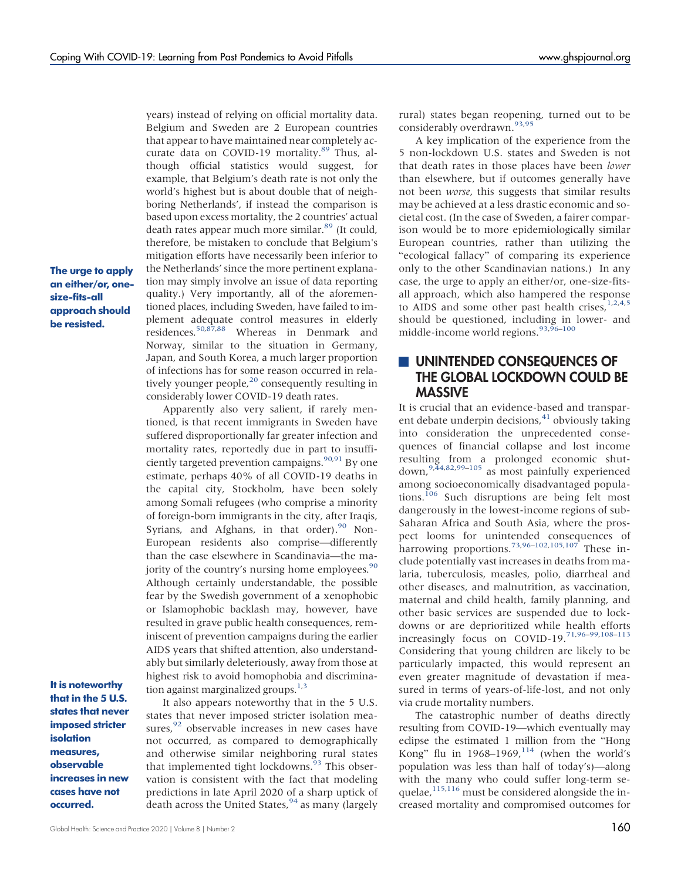The urge to apply an either/or, onesize-fits-all approach should be resisted.

It is noteworthy that in the 5 U.S. states that never imposed stricter isolation measures, observable increases in new cases have not occurred.

Belgium and Sweden are 2 European countries that appear to have maintained near completely ac-curate data on COVID-19 mortality.<sup>[89](#page-9-6)</sup> Thus, although official statistics would suggest, for example, that Belgium's death rate is not only the world's highest but is about double that of neighboring Netherlands', if instead the comparison is based upon excess mortality, the 2 countries' actual death rates appear much more similar.<sup>[89](#page-9-6)</sup> (It could, therefore, be mistaken to conclude that Belgium's mitigation efforts have necessarily been inferior to the Netherlands'since the more pertinent explanation may simply involve an issue of data reporting quality.) Very importantly, all of the aforementioned places, including Sweden, have failed to implement adequate control measures in elderly residences[.50,](#page-7-27)[87](#page-9-4)[,88](#page-9-5) Whereas in Denmark and Norway, similar to the situation in Germany, Japan, and South Korea, a much larger proportion of infections has for some reason occurred in relatively younger people, $^{20}$  consequently resulting in considerably lower COVID-19 death rates.

years) instead of relying on official mortality data.

Apparently also very salient, if rarely mentioned, is that recent immigrants in Sweden have suffered disproportionally far greater infection and mortality rates, reportedly due in part to insuffi-ciently targeted prevention campaigns.<sup>90[,91](#page-9-8)</sup> By one estimate, perhaps 40% of all COVID-19 deaths in the capital city, Stockholm, have been solely among Somali refugees (who comprise a minority of foreign-born immigrants in the city, after Iraqis, Syrians, and Afghans, in that order). $90$  Non-European residents also comprise—differently than the case elsewhere in Scandinavia—the majority of the country's nursing home employees.<sup>90</sup> Although certainly understandable, the possible fear by the Swedish government of a xenophobic or Islamophobic backlash may, however, have resulted in grave public health consequences, reminiscent of prevention campaigns during the earlier AIDS years that shifted attention, also understandably but similarly deleteriously, away from those at highest risk to avoid homophobia and discrimination against marginalized groups. $1,3$  $1,3$ 

It also appears noteworthy that in the 5 U.S. states that never imposed stricter isolation measures, $92$  observable increases in new cases have not occurred, as compared to demographically and otherwise similar neighboring rural states that implemented tight lockdowns.<sup>[93](#page-9-10)</sup> This observation is consistent with the fact that modeling predictions in late April 2020 of a sharp uptick of death across the United States, <sup>[94](#page-9-11)</sup> as many (largely

rural) states began reopening, turned out to be considerably overdrawn.<sup>[93](#page-9-10)[,95](#page-9-12)</sup>

A key implication of the experience from the 5 non-lockdown U.S. states and Sweden is not that death rates in those places have been lower than elsewhere, but if outcomes generally have not been worse, this suggests that similar results may be achieved at a less drastic economic and societal cost. (In the case of Sweden, a fairer comparison would be to more epidemiologically similar European countries, rather than utilizing the "ecological fallacy" of comparing its experience only to the other Scandinavian nations.) In any case, the urge to apply an either/or, one-size-fitsall approach, which also hampered the response to AIDS and some other past health crises,  $1,2,4,5$  $1,2,4,5$  $1,2,4,5$  $1,2,4,5$ should be questioned, including in lower- and middle-income world regions.<sup>[93,](#page-9-10)[96](#page-9-13)–[100](#page-9-14)</sup>

## UNINTENDED CONSEQUENCES OF THE GLOBAL LOCKDOWN COULD BE MASSIVE

It is crucial that an evidence-based and transparent debate underpin decisions, $41$  obviously taking into consideration the unprecedented consequences of financial collapse and lost income resulting from a prolonged economic shutdown,[9](#page-6-8)[,44](#page-7-21),[82,](#page-8-18)[99](#page-9-15)–[105](#page-9-16) as most painfully experienced among socioeconomically disadvantaged popula-tions.<sup>[106](#page-9-17)</sup> Such disruptions are being felt most dangerously in the lowest-income regions of sub-Saharan Africa and South Asia, where the prospect looms for unintended consequences of harrowing proportions.<sup>[73,](#page-8-19)[96](#page-9-13)–[102,](#page-9-18)[105](#page-9-16)[,107](#page-9-19)</sup> These include potentially vast increases in deaths from malaria, tuberculosis, measles, polio, diarrheal and other diseases, and malnutrition, as vaccination, maternal and child health, family planning, and other basic services are suspended due to lockdowns or are deprioritized while health efforts increasingly focus on COVID-19.[71](#page-8-15)[,96](#page-9-13)–[99](#page-9-15)[,108](#page-9-20)–[113](#page-9-21) Considering that young children are likely to be particularly impacted, this would represent an even greater magnitude of devastation if measured in terms of years-of-life-lost, and not only via crude mortality numbers.

The catastrophic number of deaths directly resulting from COVID-19—which eventually may eclipse the estimated 1 million from the "Hong Kong" flu in 1968–1969, $^{114}$  $^{114}$  $^{114}$  (when the world's population was less than half of today's)—along with the many who could suffer long-term se-quelae,<sup>[115](#page-10-1)[,116](#page-10-2)</sup> must be considered alongside the increased mortality and compromised outcomes for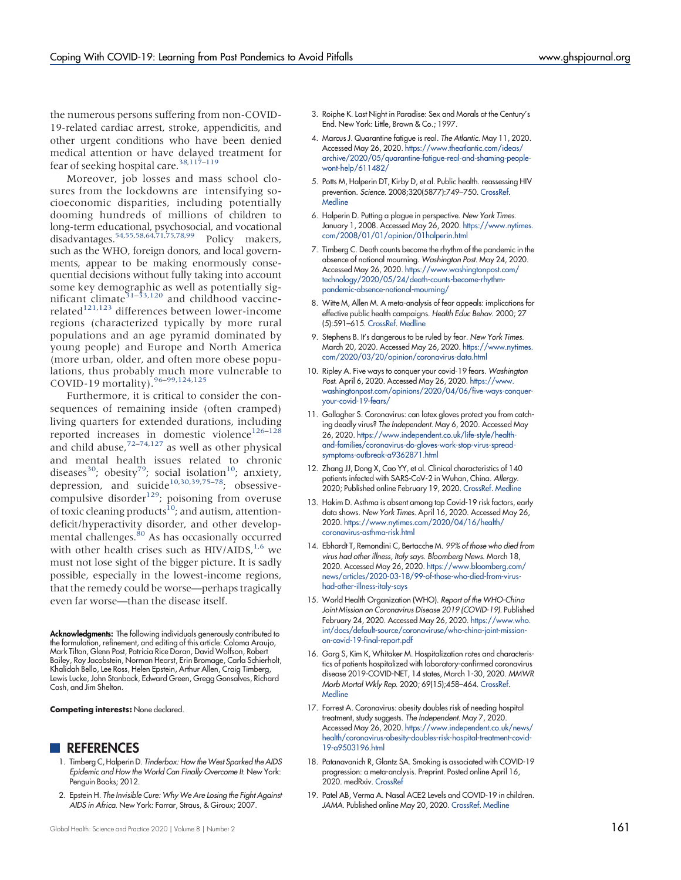the numerous persons suffering from non-COVID-19-related cardiac arrest, stroke, appendicitis, and other urgent conditions who have been denied medical attention or have delayed treatment for fear of seeking hospital care.<sup>[38](#page-7-16)[,117](#page-10-3)-[119](#page-10-4)</sup>

Moreover, job losses and mass school closures from the lockdowns are intensifying socioeconomic disparities, including potentially dooming hundreds of millions of children to long-term educational, psychosocial, and vocational disadvantages[.54,](#page-8-3)[55](#page-8-14),[58](#page-8-1)[,64](#page-8-10)[,71,](#page-8-15)[75](#page-8-20)[,78](#page-8-21)[,99](#page-9-15) Policy makers, such as the WHO, foreign donors, and local governments, appear to be making enormously consequential decisions without fully taking into account some key demographic as well as potentially sig-nificant climate<sup>[31](#page-7-10)-[33,](#page-7-11)[120](#page-10-5)</sup> and childhood vaccine-related<sup>[121,](#page-10-6)[123](#page-10-7)</sup> differences between lower-income regions (characterized typically by more rural populations and an age pyramid dominated by young people) and Europe and North America (more urban, older, and often more obese populations, thus probably much more vulnerable to COVID-19 mortality).<sup>[96](#page-9-13)-[99](#page-9-15),[124](#page-10-8),[125](#page-10-9)</sup>

<span id="page-6-12"></span><span id="page-6-11"></span><span id="page-6-10"></span><span id="page-6-9"></span>Furthermore, it is critical to consider the consequences of remaining inside (often cramped) living quarters for extended durations, including reported increases in domestic violence<sup>[126](#page-10-10)–[128](#page-10-11)</sup> and child abuse, $72-74,127$  $72-74,127$  $72-74,127$  $72-74,127$  as well as other physical and mental health issues related to chronic diseases<sup>[30](#page-7-9)</sup>; obesity<sup>79</sup>; social isolation<sup>10</sup>; anxiety, depression, and suicide<sup>[10](#page-6-9)[,30](#page-7-9)[,39,](#page-7-17)[75](#page-8-20)-78</sup>; obsessivecompulsive disorder<sup>129</sup>; poisoning from overuse of toxic cleaning products<sup>[10](#page-6-9)</sup>; and autism, attentiondeficit/hyperactivity disorder, and other develop-mental challenges.<sup>[80](#page-8-16)</sup> As has occasionally occurred with other health crises such as  $HIV/AIDS$ ,<sup>1,[6](#page-6-5)</sup> we must not lose sight of the bigger picture. It is sadly possible, especially in the lowest-income regions, that the remedy could be worse—perhaps tragically even far worse—than the disease itself.

<span id="page-6-18"></span><span id="page-6-14"></span><span id="page-6-13"></span>Acknowledgments: The following individuals generously contributed to the formulation, refinement, and editing of this article: Coloma Araujo, Mark Tilton, Glenn Post, Patricia Rice Doran, David Wolfson, Robert Bailey, Roy Jacobstein, Norman Hearst, Erin Bromage, Carla Schierholt, Khalidah Bello, Lee Ross, Helen Epstein, Arthur Allen, Craig Timberg, Lewis Lucke, John Stanback, Edward Green, Gregg Gonsalves, Richard Cash, and Jim Shelton.

Competing interests: None declared.

#### **REFERENCES**

- <span id="page-6-16"></span><span id="page-6-15"></span><span id="page-6-0"></span>1. Timberg C, Halperin D. Tinderbox: How the West Sparked the AIDS Epidemic and How the World Can Finally Overcome It. New York: Penguin Books; 2012.
- <span id="page-6-17"></span><span id="page-6-1"></span>2. Epstein H. The Invisible Cure: Why We Are Losing the Fight Against AIDS in Africa. New York: Farrar, Straus, & Giroux; 2007.
- <span id="page-6-8"></span><span id="page-6-7"></span><span id="page-6-6"></span><span id="page-6-5"></span><span id="page-6-4"></span><span id="page-6-3"></span><span id="page-6-2"></span>3. Roiphe K. Last Night in Paradise: Sex and Morals at the Century's End. New York: Little, Brown & Co.; 1997.
	- 4. Marcus J. Quarantine fatigue is real. The Atlantic. May 11, 2020. Accessed May 26, 2020. [https://www.theatlantic.com/ideas/](https://www.theatlantic.com/ideas/archive/2020/05/quarantine-fatigue-real-and-shaming-people-wont-help/611482/) [archive/2020/05/quarantine-fatigue-real-and-shaming-people](https://www.theatlantic.com/ideas/archive/2020/05/quarantine-fatigue-real-and-shaming-people-wont-help/611482/)[wont-help/611482/](https://www.theatlantic.com/ideas/archive/2020/05/quarantine-fatigue-real-and-shaming-people-wont-help/611482/)
	- 5. Potts M, Halperin DT, Kirby D, et al. Public health. reassessing HIV prevention. Science. 2008;320(5877):749–750. [CrossRef](https://doi.org/10.1126/science.1153843). **[Medline](http://www.ncbi.nlm.nih.gov/pubmed/18467575)**
	- 6. Halperin D. Putting a plague in perspective. New York Times. January 1, 2008. Accessed May 26, 2020. [https://www.nytimes.](https://www.nytimes.com/2008/01/01/opinion/01halperin.html) [com/2008/01/01/opinion/01halperin.html](https://www.nytimes.com/2008/01/01/opinion/01halperin.html)
	- 7. Timberg C. Death counts become the rhythm of the pandemic in the absence of national mourning. Washington Post. May 24, 2020. Accessed May 26, 2020. [https://www.washingtonpost.com/](https://www.washingtonpost.com/technology/2020/05/24/death-counts-become-rhythm-pandemic-absence-national-mourning/) [technology/2020/05/24/death-counts-become-rhythm](https://www.washingtonpost.com/technology/2020/05/24/death-counts-become-rhythm-pandemic-absence-national-mourning/)[pandemic-absence-national-mourning/](https://www.washingtonpost.com/technology/2020/05/24/death-counts-become-rhythm-pandemic-absence-national-mourning/)
	- 8. Witte M, Allen M. A meta-analysis of fear appeals: implications for effective public health campaigns. Health Educ Behav. 2000; 27 (5):591–615. [CrossRef.](https://doi.org/10.1177/109019810002700506) [Medline](http://www.ncbi.nlm.nih.gov/pubmed/11009129)
	- 9. Stephens B. It's dangerous to be ruled by fear. New York Times. March 20, 2020. Accessed May 26, 2020. [https://www.nytimes.](https://www.nytimes.com/2020/03/20/opinion/coronavirus-data.html) [com/2020/03/20/opinion/coronavirus-data.html](https://www.nytimes.com/2020/03/20/opinion/coronavirus-data.html)
	- 10. Ripley A. Five ways to conquer your covid-19 fears. Washington Post. April 6, 2020. Accessed May 26, 2020. [https://www.](https://www.washingtonpost.com/opinions/2020/04/06/five-ways-conquer-your-covid-19-fears/) [washingtonpost.com/opinions/2020/04/06/five-ways-conquer](https://www.washingtonpost.com/opinions/2020/04/06/five-ways-conquer-your-covid-19-fears/)[your-covid-19-fears/](https://www.washingtonpost.com/opinions/2020/04/06/five-ways-conquer-your-covid-19-fears/)
	- 11. Gallagher S. Coronavirus: can latex gloves protect you from catching deadly virus? The Independent. May 6, 2020. Accessed May 26, 2020. [https://www.independent.co.uk/life-style/health](https://www.independent.co.uk/life-style/health-and-families/coronavirus-do-gloves-work-stop-virus-spread-symptoms-outbreak-a9362871.html)[and-families/coronavirus-do-gloves-work-stop-virus-spread](https://www.independent.co.uk/life-style/health-and-families/coronavirus-do-gloves-work-stop-virus-spread-symptoms-outbreak-a9362871.html)[symptoms-outbreak-a9362871.html](https://www.independent.co.uk/life-style/health-and-families/coronavirus-do-gloves-work-stop-virus-spread-symptoms-outbreak-a9362871.html)
	- 12. Zhang JJ, Dong X, Cao YY, et al. Clinical characteristics of 140 patients infected with SARS-CoV-2 in Wuhan, China. Allergy. 2020; Published online February 19, 2020. [CrossRef.](https://doi.org/10.1111/all.14238) [Medline](http://www.ncbi.nlm.nih.gov/pubmed/32077115)
	- 13. Hakim D. Asthma is absent among top Covid-19 risk factors, early data shows. New York Times. April 16, 2020. Accessed May 26, 2020. [https://www.nytimes.com/2020/04/16/health/](https://www.nytimes.com/2020/04/16/health/coronavirus-asthma-risk.html) [coronavirus-asthma-risk.html](https://www.nytimes.com/2020/04/16/health/coronavirus-asthma-risk.html)
	- 14. Ebhardt T, Remondini C, Bertacche M. 99% of those who died from virus had other illness, Italy says. Bloomberg News. March 18, 2020. Accessed May 26, 2020. [https://www.bloomberg.com/](https://www.bloomberg.com/news/articles/2020-03-18/99-of-those-who-died-from-virus-had-other-illness-italy-says) [news/articles/2020-03-18/99-of-those-who-died-from-virus](https://www.bloomberg.com/news/articles/2020-03-18/99-of-those-who-died-from-virus-had-other-illness-italy-says)[had-other-illness-italy-says](https://www.bloomberg.com/news/articles/2020-03-18/99-of-those-who-died-from-virus-had-other-illness-italy-says)
	- 15. World Health Organization (WHO). Report of the WHO-China Joint Mission on Coronavirus Disease 2019 (COVID-19). Published February 24, 2020. Accessed May 26, 2020. [https://www.who.](https://www.who.int/docs/default-source/coronaviruse/who-china-joint-mission-on-covid-19-final-report.pdf) [int/docs/default-source/coronaviruse/who-china-joint-mission](https://www.who.int/docs/default-source/coronaviruse/who-china-joint-mission-on-covid-19-final-report.pdf)[on-covid-19-final-report.pdf](https://www.who.int/docs/default-source/coronaviruse/who-china-joint-mission-on-covid-19-final-report.pdf)
	- 16. Garg S, Kim K, Whitaker M. Hospitalization rates and characteristics of patients hospitalized with laboratory-confirmed coronavirus disease 2019-COVID-NET, 14 states, March 1-30, 2020. MMWR Morb Mortal Wkly Rep. 2020; 69(15);458–464. [CrossRef](https://doi.org/10.15585/mmwr.mm6915e3). **[Medline](http://www.ncbi.nlm.nih.gov/pubmed/32298251)**
	- 17. Forrest A. Coronavirus: obesity doubles risk of needing hospital treatment, study suggests. The Independent. May 7, 2020. Accessed May 26, 2020. [https://www.independent.co.uk/news/](https://www.independent.co.uk/news/health/coronavirus-obesity-doubles-risk-hospital-treatment-covid-19-a9503196.html) [health/coronavirus-obesity-doubles-risk-hospital-treatment-covid-](https://www.independent.co.uk/news/health/coronavirus-obesity-doubles-risk-hospital-treatment-covid-19-a9503196.html)[19-a9503196.html](https://www.independent.co.uk/news/health/coronavirus-obesity-doubles-risk-hospital-treatment-covid-19-a9503196.html)
	- 18. Patanavanich R, Glantz SA. Smoking is associated with COVID-19 progression: a meta-analysis. Preprint. Posted online April 16, 2020. medRxiv. [CrossRef](https://doi.org/10.1101/2020.04.13.20063669)
	- 19. Patel AB, Verma A. Nasal ACE2 Levels and COVID-19 in children. JAMA. Published online May 20, 2020. [CrossRef](https://doi.org/10.1001/jama.2020.8946). [Medline](http://www.ncbi.nlm.nih.gov/pubmed/32432681)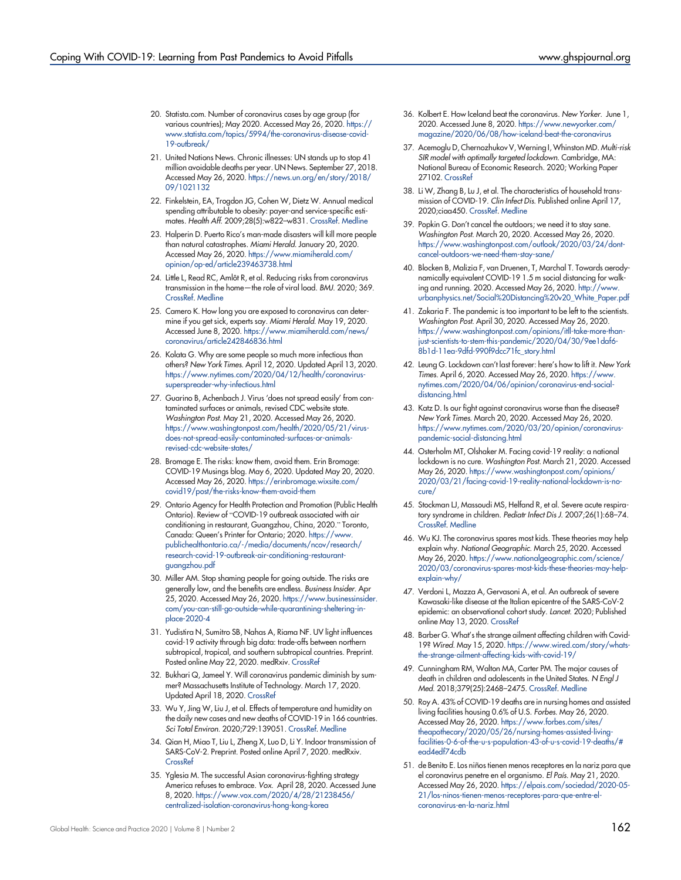- <span id="page-7-0"></span>20. Statista.com. Number of coronavirus cases by age group (for various countries); May 2020. Accessed May 26, 2020. [https://](https://www.statista.com/topics/5994/the-coronavirus-disease-covid-19-outbreak/) [www.statista.com/topics/5994/the-coronavirus-disease-covid-](https://www.statista.com/topics/5994/the-coronavirus-disease-covid-19-outbreak/)[19-outbreak/](https://www.statista.com/topics/5994/the-coronavirus-disease-covid-19-outbreak/)
- <span id="page-7-1"></span>21. United Nations News. Chronic illnesses: UN stands up to stop 41 million avoidable deaths per year. UN News. September 27, 2018. Accessed May 26, 2020. [https://news.un.org/en/story/2018/](https://news.un.org/en/story/2018/09/1021132) [09/1021132](https://news.un.org/en/story/2018/09/1021132)
- <span id="page-7-2"></span>22. Finkelstein, EA, Trogdon JG, Cohen W, Dietz W. Annual medical spending attributable to obesity: payer-and service-specific estimates. Health Aff. 2009;28(5):w822–w831. [CrossRef.](https://doi.org/10.1377/hlthaff.28.5.w822) [Medline](http://www.ncbi.nlm.nih.gov/pubmed/19635784)
- <span id="page-7-3"></span>23. Halperin D. Puerto Rico's man-made disasters will kill more people than natural catastrophes. Miami Herald. January 20, 2020. Accessed May 26, 2020. [https://www.miamiherald.com/](https://www.miamiherald.com/opinion/op-ed/article239463738.html) [opinion/op-ed/article239463738.html](https://www.miamiherald.com/opinion/op-ed/article239463738.html)
- <span id="page-7-4"></span>24. Little L, Read RC, Amlôt R, et al. Reducing risks from coronavirus transmission in the home—the role of viral load. BMJ. 2020; 369. [CrossRef.](https://doi.org/10.1136/bmj.m1728) [Medline](http://www.ncbi.nlm.nih.gov/pubmed/32376669)
- 25. Camero K. How long you are exposed to coronavirus can determine if you get sick, experts say. Miami Herald. May 19, 2020. Accessed June 8, 2020. [https://www.miamiherald.com/news/](https://www.miamiherald.com/news/coronavirus/article242846836.html) [coronavirus/article242846836.html](https://www.miamiherald.com/news/coronavirus/article242846836.html)
- <span id="page-7-5"></span>26. Kolata G. Why are some people so much more infectious than others? New York Times. April 12, 2020. Updated April 13, 2020. [https://www.nytimes.com/2020/04/12/health/coronavirus](https://www.nytimes.com/2020/04/12/health/coronavirus-superspreader-why-infectious.html)[superspreader-why-infectious.html](https://www.nytimes.com/2020/04/12/health/coronavirus-superspreader-why-infectious.html)
- <span id="page-7-6"></span>27. Guarino B, Achenbach J. Virus 'does not spread easily' from contaminated surfaces or animals, revised CDC website state. Washington Post. May 21, 2020. Accessed May 26, 2020. [https://www.washingtonpost.com/health/2020/05/21/virus](https://www.washingtonpost.com/health/2020/05/21/virus-does-not-spread-easily-contaminated-surfaces-or-animals-revised-cdc-website-states/)[does-not-spread-easily-contaminated-surfaces-or-animals](https://www.washingtonpost.com/health/2020/05/21/virus-does-not-spread-easily-contaminated-surfaces-or-animals-revised-cdc-website-states/)[revised-cdc-website-states/](https://www.washingtonpost.com/health/2020/05/21/virus-does-not-spread-easily-contaminated-surfaces-or-animals-revised-cdc-website-states/)
- <span id="page-7-7"></span>28. Bromage E. The risks: know them, avoid them. Erin Bromage: COVID-19 Musings blog. May 6, 2020. Updated May 20, 2020. Accessed May 26, 2020. [https://erinbromage.wixsite.com/](https://erinbromage.wixsite.com/covid19/post/the-risks-know-them-avoid-them) [covid19/post/the-risks-know-them-avoid-them](https://erinbromage.wixsite.com/covid19/post/the-risks-know-them-avoid-them)
- <span id="page-7-8"></span>29. Ontario Agency for Health Protection and Promotion (Public Health Ontario). Review of "COVID-19 outbreak associated with air conditioning in restaurant, Guangzhou, China, 2020." Toronto, Canada: Queen's Printer for Ontario; 2020. [https://www.](https://www.publichealthontario.ca/-/media/documents/ncov/research/research-covid-19-outbreak-air-conditioning-restaurant-guangzhou.pdf) [publichealthontario.ca/-/media/documents/ncov/research/](https://www.publichealthontario.ca/-/media/documents/ncov/research/research-covid-19-outbreak-air-conditioning-restaurant-guangzhou.pdf) [research-covid-19-outbreak-air-conditioning-restaurant](https://www.publichealthontario.ca/-/media/documents/ncov/research/research-covid-19-outbreak-air-conditioning-restaurant-guangzhou.pdf)[guangzhou.pdf](https://www.publichealthontario.ca/-/media/documents/ncov/research/research-covid-19-outbreak-air-conditioning-restaurant-guangzhou.pdf)
- <span id="page-7-9"></span>30. Miller AM. Stop shaming people for going outside. The risks are generally low, and the benefits are endless. Business Insider. Apr 25, 2020. Accessed May 26, 2020. [https://www.businessinsider.](https://www.businessinsider.com/you-can-still-go-outside-while-quarantining-sheltering-in-place-2020-4) [com/you-can-still-go-outside-while-quarantining-sheltering-in](https://www.businessinsider.com/you-can-still-go-outside-while-quarantining-sheltering-in-place-2020-4)[place-2020-4](https://www.businessinsider.com/you-can-still-go-outside-while-quarantining-sheltering-in-place-2020-4)
- <span id="page-7-10"></span>31. Yudistira N, Sumitro SB, Nahas A, Riama NF. UV light influences covid-19 activity through big data: trade-offs between northern subtropical, tropical, and southern subtropical countries. Preprint. Posted online May 22, 2020. medRxiv. [CrossRef](https://doi.org/10.1101/2020.04.30.20086983)
- 32. Bukhari Q, Jameel Y. Will coronavirus pandemic diminish by summer? Massachusetts Institute of Technology. March 17, 2020. Updated April 18, 2020. [CrossRef](https://doi.org/10.2139/ssrn.3556998)
- <span id="page-7-11"></span>33. Wu Y, Jing W, Liu J, et al. Effects of temperature and humidity on the daily new cases and new deaths of COVID-19 in 166 countries. Sci Total Environ. 2020;729:139051. [CrossRef](https://doi.org/10.1016/j.scitotenv.2020.139051). [Medline](http://www.ncbi.nlm.nih.gov/pubmed/32361460)
- <span id="page-7-12"></span>34. Qian H, Miao T, Liu L, Zheng X, Luo D, Li Y. Indoor transmission of SARS-CoV-2. Preprint. Posted online April 7, 2020. medRxiv. [CrossRef](https://doi.org/10.1101/2020.04.04.20053058)
- <span id="page-7-13"></span>35. Yglesia M. The successful Asian coronavirus-fighting strategy America refuses to embrace. Vox. April 28, 2020. Accessed June 8, 2020. [https://www.vox.com/2020/4/28/21238456/](https://www.vox.com/2020/4/28/21238456/centralized-isolation-coronavirus-hong-kong-korea) [centralized-isolation-coronavirus-hong-kong-korea](https://www.vox.com/2020/4/28/21238456/centralized-isolation-coronavirus-hong-kong-korea)
- <span id="page-7-15"></span>36. Kolbert E. How Iceland beat the coronavirus. New Yorker. June 1, 2020. Accessed June 8, 2020. [https://www.newyorker.com/](https://www.newyorker.com/magazine/2020/06/08/how-iceland-beat-the-coronavirus) [magazine/2020/06/08/how-iceland-beat-the-coronavirus](https://www.newyorker.com/magazine/2020/06/08/how-iceland-beat-the-coronavirus)
- <span id="page-7-14"></span>37. Acemoglu D, Chernozhukov V, Werning I, Whinston MD. Multi-risk SIR model with optimally targeted lockdown. Cambridge, MA: National Bureau of Economic Research. 2020; Working Paper 27102. [CrossRef](https://doi.org/10.3386/w27102)
- <span id="page-7-16"></span>38. Li W, Zhang B, Lu J, et al. The characteristics of household transmission of COVID-19. Clin Infect Dis. Published online April 17, 2020;ciaa450. [CrossRef](https://doi.org/10.1093/cid/ciaa450). [Medline](http://www.ncbi.nlm.nih.gov/pubmed/32301964)
- <span id="page-7-17"></span>39. Popkin G. Don't cancel the outdoors; we need it to stay sane. Washington Post. March 20, 2020. Accessed May 26, 2020. [https://www.washingtonpost.com/outlook/2020/03/24/dont](https://www.washingtonpost.com/outlook/2020/03/24/dont-cancel-outdoors-we-need-them-stay-sane/)[cancel-outdoors-we-need-them-stay-sane/](https://www.washingtonpost.com/outlook/2020/03/24/dont-cancel-outdoors-we-need-them-stay-sane/)
- <span id="page-7-18"></span>40. Blocken B, Malizia F, van Druenen, T, Marchal T. Towards aerodynamically equivalent COVID-19 1.5 m social distancing for walking and running. 2020. Accessed May 26, 2020. [http://www.](http://www.urbanphysics.net/Social%20Distancing%20v20_White_Paper.pdf) [urbanphysics.net/Social%20Distancing%20v20\\_White\\_Paper.pdf](http://www.urbanphysics.net/Social%20Distancing%20v20_White_Paper.pdf)
- <span id="page-7-19"></span>41. Zakaria F. The pandemic is too important to be left to the scientists. Washington Post. April 30, 2020. Accessed May 26, 2020. [https://www.washingtonpost.com/opinions/itll-take-more-than](https://www.washingtonpost.com/opinions/itll-take-more-than-just-scientists-to-stem-this-pandemic/2020/04/30/9ee1daf6-8b1d-11ea-9dfd-990f9dcc71fc_story.html)[just-scientists-to-stem-this-pandemic/2020/04/30/9ee1daf6-](https://www.washingtonpost.com/opinions/itll-take-more-than-just-scientists-to-stem-this-pandemic/2020/04/30/9ee1daf6-8b1d-11ea-9dfd-990f9dcc71fc_story.html) [8b1d-11ea-9dfd-990f9dcc71fc\\_story.html](https://www.washingtonpost.com/opinions/itll-take-more-than-just-scientists-to-stem-this-pandemic/2020/04/30/9ee1daf6-8b1d-11ea-9dfd-990f9dcc71fc_story.html)
- 42. Leung G. Lockdown can't last forever: here's how to lift it. New York Times. April 6, 2020. Accessed May 26, 2020. [https://www.](https://www.nytimes.com/2020/04/06/opinion/coronavirus-end-social-distancing.html) [nytimes.com/2020/04/06/opinion/coronavirus-end-social](https://www.nytimes.com/2020/04/06/opinion/coronavirus-end-social-distancing.html)[distancing.html](https://www.nytimes.com/2020/04/06/opinion/coronavirus-end-social-distancing.html)
- <span id="page-7-20"></span>43. Katz D. Is our fight against coronavirus worse than the disease? New York Times. March 20, 2020. Accessed May 26, 2020. [https://www.nytimes.com/2020/03/20/opinion/coronavirus](https://www.nytimes.com/2020/03/20/opinion/coronavirus-pandemic-social-distancing.html)[pandemic-social-distancing.html](https://www.nytimes.com/2020/03/20/opinion/coronavirus-pandemic-social-distancing.html)
- <span id="page-7-21"></span>44. Osterholm MT, Olshaker M. Facing covid-19 reality: a national lockdown is no cure. Washington Post. March 21, 2020. Accessed May 26, 2020. [https://www.washingtonpost.com/opinions/](https://www.washingtonpost.com/opinions/2020/03/21/facing-covid-19-reality-national-lockdown-is-no-cure/) [2020/03/21/facing-covid-19-reality-national-lockdown-is-no](https://www.washingtonpost.com/opinions/2020/03/21/facing-covid-19-reality-national-lockdown-is-no-cure/)[cure/](https://www.washingtonpost.com/opinions/2020/03/21/facing-covid-19-reality-national-lockdown-is-no-cure/)
- <span id="page-7-22"></span>45. Stockman LJ, Massoudi MS, Helfand R, et al. Severe acute respiratory syndrome in children. Pediatr Infect Dis J. 2007;26(1):68–74. [CrossRef](https://doi.org/10.1097/01.inf.0000247136.28950.41). [Medline](http://www.ncbi.nlm.nih.gov/pubmed/17195709)
- <span id="page-7-23"></span>46. Wu KJ. The coronavirus spares most kids. These theories may help explain why. National Geographic. March 25, 2020. Accessed May 26, 2020. [https://www.nationalgeographic.com/science/](https://www.nationalgeographic.com/science/2020/03/coronavirus-spares-most-kids-these-theories-may-help-explain-why/) [2020/03/coronavirus-spares-most-kids-these-theories-may-help](https://www.nationalgeographic.com/science/2020/03/coronavirus-spares-most-kids-these-theories-may-help-explain-why/)[explain-why/](https://www.nationalgeographic.com/science/2020/03/coronavirus-spares-most-kids-these-theories-may-help-explain-why/)
- <span id="page-7-24"></span>47. Verdoni L, Mazza A, Gervasoni A, et al. An outbreak of severe Kawasaki-like disease at the Italian epicentre of the SARS-CoV-2 epidemic: an observational cohort study. Lancet. 2020; Published online May 13, 2020. [CrossRef](https://doi.org/10.1016/S0140-6736(20)31103-X)
- <span id="page-7-25"></span>48. Barber G. What's the strange ailment affecting children with Covid-19? Wired. May 15, 2020. [https://www.wired.com/story/whats](https://www.wired.com/story/whats-the-strange-ailment-affecting-kids-with-covid-19/)[the-strange-ailment-affecting-kids-with-covid-19/](https://www.wired.com/story/whats-the-strange-ailment-affecting-kids-with-covid-19/)
- <span id="page-7-26"></span>49. Cunningham RM, Walton MA, Carter PM. The major causes of death in children and adolescents in the United States. N Engl J Med. 2018;379(25):2468–2475. [CrossRef.](https://doi.org/10.1056/nejmsr1804754) [Medline](http://www.ncbi.nlm.nih.gov/pubmed/30575483)
- <span id="page-7-27"></span>50. Roy A. 43% of COVID-19 deaths are in nursing homes and assisted living facilities housing 0.6% of U.S. Forbes. May 26, 2020. Accessed May 26, 2020. [https://www.forbes.com/sites/](https://www.forbes.com/sites/theapothecary/2020/05/26/nursing-homes-assisted-living-facilities-0-6-of-the-u-s-population-43-of-u-s-covid-19-deaths/#ead4edf74cdb) [theapothecary/2020/05/26/nursing-homes-assisted-living](https://www.forbes.com/sites/theapothecary/2020/05/26/nursing-homes-assisted-living-facilities-0-6-of-the-u-s-population-43-of-u-s-covid-19-deaths/#ead4edf74cdb)[facilities-0-6-of-the-u-s-population-43-of-u-s-covid-19-deaths/#](https://www.forbes.com/sites/theapothecary/2020/05/26/nursing-homes-assisted-living-facilities-0-6-of-the-u-s-population-43-of-u-s-covid-19-deaths/#ead4edf74cdb) [ead4edf74cdb](https://www.forbes.com/sites/theapothecary/2020/05/26/nursing-homes-assisted-living-facilities-0-6-of-the-u-s-population-43-of-u-s-covid-19-deaths/#ead4edf74cdb)
- <span id="page-7-28"></span>51. de Benito E. Los niños tienen menos receptores en la nariz para que el coronavirus penetre en el organismo. El País. May 21, 2020. Accessed May 26, 2020. [https://elpais.com/sociedad/2020-05-](https://elpais.com/sociedad/2020-05-21/los-ninos-tienen-menos-receptores-para-que-entre-el-coronavirus-en-la-nariz.html) [21/los-ninos-tienen-menos-receptores-para-que-entre-el](https://elpais.com/sociedad/2020-05-21/los-ninos-tienen-menos-receptores-para-que-entre-el-coronavirus-en-la-nariz.html)[coronavirus-en-la-nariz.html](https://elpais.com/sociedad/2020-05-21/los-ninos-tienen-menos-receptores-para-que-entre-el-coronavirus-en-la-nariz.html)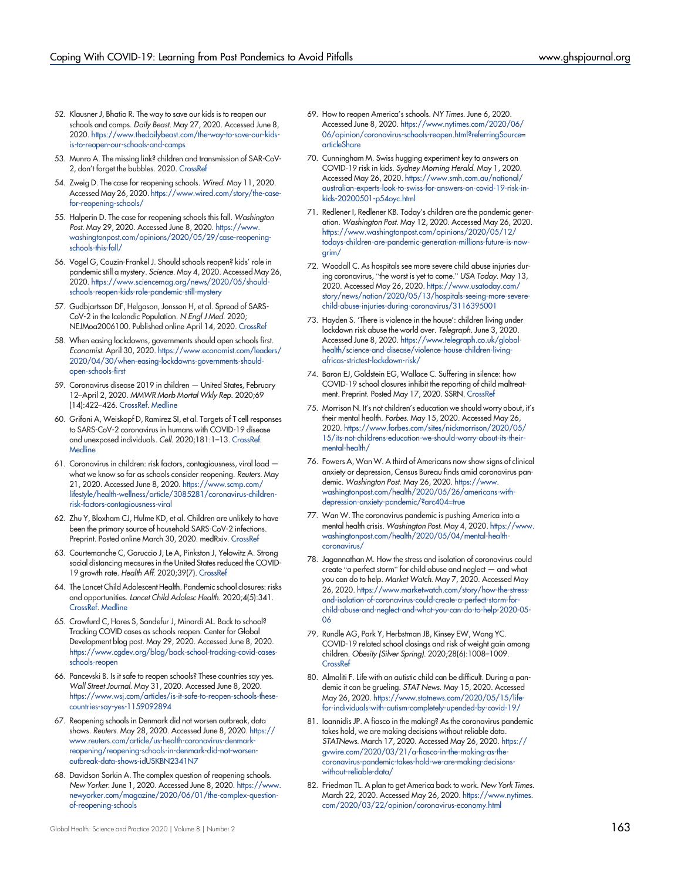- <span id="page-8-0"></span>52. Klausner J, Bhatia R. The way to save our kids is to reopen our schools and camps. Daily Beast. May 27, 2020. Accessed June 8, 2020. [https://www.thedailybeast.com/the-way-to-save-our-kids](https://www.thedailybeast.com/the-way-to-save-our-kids-is-to-reopen-our-schools-and-camps)[is-to-reopen-our-schools-and-camps](https://www.thedailybeast.com/the-way-to-save-our-kids-is-to-reopen-our-schools-and-camps)
- <span id="page-8-5"></span>53. Munro A. The missing link? children and transmission of SAR-CoV-2, don't forget the bubbles. 2020. [CrossRef](https://doi.org/10.31440/DFTB.25585)
- <span id="page-8-3"></span>54. Zweig D. The case for reopening schools. Wired. May 11, 2020. Accessed May 26, 2020. [https://www.wired.com/story/the-case](https://www.wired.com/story/the-case-for-reopening-schools/)[for-reopening-schools/](https://www.wired.com/story/the-case-for-reopening-schools/)
- <span id="page-8-14"></span>55. Halperin D. The case for reopening schools this fall. Washington Post. May 29, 2020. Accessed June 8, 2020. [https://www.](https://www.washingtonpost.com/opinions/2020/05/29/case-reopening-schools-this-fall/) [washingtonpost.com/opinions/2020/05/29/case-reopening](https://www.washingtonpost.com/opinions/2020/05/29/case-reopening-schools-this-fall/)[schools-this-fall/](https://www.washingtonpost.com/opinions/2020/05/29/case-reopening-schools-this-fall/)
- 56. Vogel G, Couzin-Frankel J. Should schools reopen? kids' role in pandemic still a mystery. Science. May 4, 2020. Accessed May 26, 2020. [https://www.sciencemag.org/news/2020/05/should](https://www.sciencemag.org/news/2020/05/should-schools-reopen-kids-role-pandemic-still-mystery)[schools-reopen-kids-role-pandemic-still-mystery](https://www.sciencemag.org/news/2020/05/should-schools-reopen-kids-role-pandemic-still-mystery)
- <span id="page-8-8"></span>57. Gudbjartsson DF, Helgason, Jonsson H, et al. Spread of SARS-CoV-2 in the Icelandic Population. N Engl J Med. 2020; NEJMoa2006100. Published online April 14, 2020. [CrossRef](https://doi.org/10.1056/nejmoa2006100)
- <span id="page-8-1"></span>58. When easing lockdowns, governments should open schools first. Economist. April 30, 2020. [https://www.economist.com/leaders/](https://www.economist.com/leaders/2020/04/30/when-easing-lockdowns-governments-should-open-schools-first) [2020/04/30/when-easing-lockdowns-governments-should](https://www.economist.com/leaders/2020/04/30/when-easing-lockdowns-governments-should-open-schools-first)[open-schools-first](https://www.economist.com/leaders/2020/04/30/when-easing-lockdowns-governments-should-open-schools-first)
- <span id="page-8-2"></span>59. Coronavirus disease 2019 in children — United States, February 12–April 2, 2020. MMWR Morb Mortal Wkly Rep. 2020;69 (14):422–426. [CrossRef](https://doi.org/10.15585/mmwr.mm6914e4). [Medline](http://www.ncbi.nlm.nih.gov/pubmed/32271728)
- <span id="page-8-4"></span>60. Grifoni A, Weiskopf D, Ramirez SI, et al. Targets of T cell responses to SARS-CoV-2 coronavirus in humans with COVID-19 disease and unexposed individuals. Cell. 2020;181:1–13. [CrossRef.](https://doi.org/10.1016/j.cell.2020.05.015) **[Medline](http://www.ncbi.nlm.nih.gov/pubmed/32473127)**
- <span id="page-8-7"></span>61. Coronavirus in children: risk factors, contagiousness, viral load what we know so far as schools consider reopening. Reuters. May 21, 2020. Accessed June 8, 2020. [https://www.scmp.com/](https://www.scmp.com/lifestyle/health-wellness/article/3085281/coronavirus-children-risk-factors-contagiousness-viral) [lifestyle/health-wellness/article/3085281/coronavirus-children](https://www.scmp.com/lifestyle/health-wellness/article/3085281/coronavirus-children-risk-factors-contagiousness-viral)[risk-factors-contagiousness-viral](https://www.scmp.com/lifestyle/health-wellness/article/3085281/coronavirus-children-risk-factors-contagiousness-viral)
- <span id="page-8-6"></span>62. Zhu Y, Bloxham CJ, Hulme KD, et al. Children are unlikely to have been the primary source of household SARS-CoV-2 infections. Preprint. Posted online March 30, 2020. medRxiv. [CrossRef](https://doi.org/10.1101/2020.03.26.20044826)
- <span id="page-8-9"></span>63. Courtemanche C, Garuccio J, Le A, Pinkston J, Yelowitz A. Strong social distancing measures in the United States reduced the COVID-19 growth rate. Health Aff. 2020;39(7). [CrossRef](https://doi.org/10.1377/hlthaff.2020.00608)
- <span id="page-8-10"></span>64. The Lancet Child Adolescent Health. Pandemic school closures: risks and opportunities. Lancet Child Adolesc Health. 2020;4(5):341. [CrossRef](https://doi.org/10.1016/S2352-4642(20)30105-X). [Medline](http://www.ncbi.nlm.nih.gov/pubmed/32277875)
- 65. Crawfurd C, Hares S, Sandefur J, Minardi AL. Back to school? Tracking COVID cases as schools reopen. Center for Global Development blog post. May 29, 2020. Accessed June 8, 2020. [https://www.cgdev.org/blog/back-school-tracking-covid-cases](https://www.cgdev.org/blog/back-school-tracking-covid-cases-schools-reopen)[schools-reopen](https://www.cgdev.org/blog/back-school-tracking-covid-cases-schools-reopen)
- 66. Pancevski B. Is it safe to reopen schools? These countries say yes. Wall Street Journal. May 31, 2020. Accessed June 8, 2020. [https://www.wsj.com/articles/is-it-safe-to-reopen-schools-these](https://www.wsj.com/articles/is-it-safe-to-reopen-schools-these-countries-say-yes-1159092894)[countries-say-yes-1159092894](https://www.wsj.com/articles/is-it-safe-to-reopen-schools-these-countries-say-yes-1159092894)
- 67. Reopening schools in Denmark did not worsen outbreak, data shows. Reuters. May 28, 2020. Accessed June 8, 2020. [https://](https://www.reuters.com/article/us-health-coronavirus-denmark-reopening/reopening-schools-in-denmark-did-not-worsen-outbreak-data-shows-idUSKBN2341N7) [www.reuters.com/article/us-health-coronavirus-denmark](https://www.reuters.com/article/us-health-coronavirus-denmark-reopening/reopening-schools-in-denmark-did-not-worsen-outbreak-data-shows-idUSKBN2341N7)[reopening/reopening-schools-in-denmark-did-not-worsen](https://www.reuters.com/article/us-health-coronavirus-denmark-reopening/reopening-schools-in-denmark-did-not-worsen-outbreak-data-shows-idUSKBN2341N7)[outbreak-data-shows-idUSKBN2341N7](https://www.reuters.com/article/us-health-coronavirus-denmark-reopening/reopening-schools-in-denmark-did-not-worsen-outbreak-data-shows-idUSKBN2341N7)
- <span id="page-8-11"></span>68. Davidson Sorkin A. The complex question of reopening schools. New Yorker. June 1, 2020. Accessed June 8, 2020. [https://www.](https://www.newyorker.com/magazine/2020/06/01/the-complex-question-of-reopening-schools) [newyorker.com/magazine/2020/06/01/the-complex-question](https://www.newyorker.com/magazine/2020/06/01/the-complex-question-of-reopening-schools)[of-reopening-schools](https://www.newyorker.com/magazine/2020/06/01/the-complex-question-of-reopening-schools)
- <span id="page-8-12"></span>69. How to reopen America's schools. NY Times. June 6, 2020. Accessed June 8, 2020. [https://www.nytimes.com/2020/06/](https://www.nytimes.com/2020/06/06/opinion/coronavirus-schools-reopen.html?referringSource=articleShare) [06/opinion/coronavirus-schools-reopen.html?referringSource=](https://www.nytimes.com/2020/06/06/opinion/coronavirus-schools-reopen.html?referringSource=articleShare) [articleShare](https://www.nytimes.com/2020/06/06/opinion/coronavirus-schools-reopen.html?referringSource=articleShare)
- <span id="page-8-13"></span>70. Cunningham M. Swiss hugging experiment key to answers on COVID-19 risk in kids. Sydney Morning Herald. May 1, 2020. Accessed May 26, 2020. [https://www.smh.com.au/national/](https://www.smh.com.au/national/australian-experts-look-to-swiss-for-answers-on-covid-19-risk-in-kids-20200501-p54oyc.html) [australian-experts-look-to-swiss-for-answers-on-covid-19-risk-in](https://www.smh.com.au/national/australian-experts-look-to-swiss-for-answers-on-covid-19-risk-in-kids-20200501-p54oyc.html)[kids-20200501-p54oyc.html](https://www.smh.com.au/national/australian-experts-look-to-swiss-for-answers-on-covid-19-risk-in-kids-20200501-p54oyc.html)
- <span id="page-8-15"></span>71. Redlener I, Redlener KB. Today's children are the pandemic generation. Washington Post. May 12, 2020. Accessed May 26, 2020. [https://www.washingtonpost.com/opinions/2020/05/12/](https://www.washingtonpost.com/opinions/2020/05/12/todays-children-are-pandemic-generation-millions-future-is-now-grim/) [todays-children-are-pandemic-generation-millions-future-is-now](https://www.washingtonpost.com/opinions/2020/05/12/todays-children-are-pandemic-generation-millions-future-is-now-grim/)[grim/](https://www.washingtonpost.com/opinions/2020/05/12/todays-children-are-pandemic-generation-millions-future-is-now-grim/)
- <span id="page-8-22"></span>72. Woodall C. As hospitals see more severe child abuse injuries during coronavirus, "the worst is yet to come." USA Today. May 13, 2020. Accessed May 26, 2020. [https://www.usatoday.com/](https://www.usatoday.com/story/news/nation/2020/05/13/hospitals-seeing-more-severe-child-abuse-injuries-during-coronavirus/3116395001) [story/news/nation/2020/05/13/hospitals-seeing-more-severe](https://www.usatoday.com/story/news/nation/2020/05/13/hospitals-seeing-more-severe-child-abuse-injuries-during-coronavirus/3116395001)[child-abuse-injuries-during-coronavirus/3116395001](https://www.usatoday.com/story/news/nation/2020/05/13/hospitals-seeing-more-severe-child-abuse-injuries-during-coronavirus/3116395001)
- <span id="page-8-19"></span>73. Hayden S. 'There is violence in the house': children living under lockdown risk abuse the world over. Telegraph. June 3, 2020. Accessed June 8, 2020. [https://www.telegraph.co.uk/global](https://www.telegraph.co.uk/global-health/science-and-disease/violence-house-children-living-africas-strictest-lockdown-risk/)[health/science-and-disease/violence-house-children-living](https://www.telegraph.co.uk/global-health/science-and-disease/violence-house-children-living-africas-strictest-lockdown-risk/)[africas-strictest-lockdown-risk/](https://www.telegraph.co.uk/global-health/science-and-disease/violence-house-children-living-africas-strictest-lockdown-risk/)
- <span id="page-8-23"></span>74. Baron EJ, Goldstein EG, Wallace C. Suffering in silence: how COVID-19 school closures inhibit the reporting of child maltreatment. Preprint. Posted May 17, 2020. SSRN. [CrossRef](https://doi.org/10.2139/ssrn.3601399)
- <span id="page-8-20"></span>75. Morrison N. It's not children's education we should worry about, it's their mental health. Forbes. May 15, 2020. Accessed May 26, 2020. [https://www.forbes.com/sites/nickmorrison/2020/05/](https://www.forbes.com/sites/nickmorrison/2020/05/15/its-not-childrens-education-we-should-worry-about-its-their-mental-health/) [15/its-not-childrens-education-we-should-worry-about-its-their](https://www.forbes.com/sites/nickmorrison/2020/05/15/its-not-childrens-education-we-should-worry-about-its-their-mental-health/)[mental-health/](https://www.forbes.com/sites/nickmorrison/2020/05/15/its-not-childrens-education-we-should-worry-about-its-their-mental-health/)
- 76. Fowers A, Wan W. A third of Americans now show signs of clinical anxiety or depression, Census Bureau finds amid coronavirus pandemic. Washington Post. May 26, 2020. [https://www.](https://www.washingtonpost.com/health/2020/05/26/americans-with-depression-anxiety-pandemic/?arc404=true) [washingtonpost.com/health/2020/05/26/americans-with](https://www.washingtonpost.com/health/2020/05/26/americans-with-depression-anxiety-pandemic/?arc404=true)[depression-anxiety-pandemic/?arc404=true](https://www.washingtonpost.com/health/2020/05/26/americans-with-depression-anxiety-pandemic/?arc404=true)
- 77. Wan W. The coronavirus pandemic is pushing America into a mental health crisis. Washington Post. May 4, 2020. [https://www.](https://www.washingtonpost.com/health/2020/05/04/mental-health-coronavirus/) [washingtonpost.com/health/2020/05/04/mental-health](https://www.washingtonpost.com/health/2020/05/04/mental-health-coronavirus/)[coronavirus/](https://www.washingtonpost.com/health/2020/05/04/mental-health-coronavirus/)
- <span id="page-8-21"></span>78. Jagannathan M. How the stress and isolation of coronavirus could create "a perfect storm" for child abuse and neglect — and what you can do to help. Market Watch. May 7, 2020. Accessed May 26, 2020. [https://www.marketwatch.com/story/how-the-stress](https://www.marketwatch.com/story/how-the-stress-and-isolation-of-coronavirus-could-create-a-perfect-storm-for-child-abuse-and-neglect-and-what-you-can-do-to-help-2020-05-06)[and-isolation-of-coronavirus-could-create-a-perfect-storm-for](https://www.marketwatch.com/story/how-the-stress-and-isolation-of-coronavirus-could-create-a-perfect-storm-for-child-abuse-and-neglect-and-what-you-can-do-to-help-2020-05-06)[child-abuse-and-neglect-and-what-you-can-do-to-help-2020-05-](https://www.marketwatch.com/story/how-the-stress-and-isolation-of-coronavirus-could-create-a-perfect-storm-for-child-abuse-and-neglect-and-what-you-can-do-to-help-2020-05-06) [06](https://www.marketwatch.com/story/how-the-stress-and-isolation-of-coronavirus-could-create-a-perfect-storm-for-child-abuse-and-neglect-and-what-you-can-do-to-help-2020-05-06)
- <span id="page-8-24"></span>79. Rundle AG, Park Y, Herbstman JB, Kinsey EW, Wang YC. COVID-19 related school closings and risk of weight gain among children. Obesity (Silver Spring). 2020;28(6):1008–1009. **[CrossRef](https://doi.org/10.1002/oby.22813)**
- <span id="page-8-16"></span>80. Almaliti F. Life with an autistic child can be difficult. During a pandemic it can be grueling. STAT News. May 15, 2020. Accessed May 26, 2020. [https://www.statnews.com/2020/05/15/life](https://www.statnews.com/2020/05/15/life-for-individuals-with-autism-completely-upended-by-covid-19/)[for-individuals-with-autism-completely-upended-by-covid-19/](https://www.statnews.com/2020/05/15/life-for-individuals-with-autism-completely-upended-by-covid-19/)
- <span id="page-8-17"></span>81. Ioannidis JP. A fiasco in the making? As the coronavirus pandemic takes hold, we are making decisions without reliable data. STATNews. March 17, 2020. Accessed May 26, 2020. [https://](https://gvwire.com/2020/03/21/a-fiasco-in-the-making-as-the-coronavirus-pandemic-takes-hold-we-are-making-decisions-without-reliable-data/) [gvwire.com/2020/03/21/a-fiasco-in-the-making-as-the](https://gvwire.com/2020/03/21/a-fiasco-in-the-making-as-the-coronavirus-pandemic-takes-hold-we-are-making-decisions-without-reliable-data/)[coronavirus-pandemic-takes-hold-we-are-making-decisions](https://gvwire.com/2020/03/21/a-fiasco-in-the-making-as-the-coronavirus-pandemic-takes-hold-we-are-making-decisions-without-reliable-data/)[without-reliable-data/](https://gvwire.com/2020/03/21/a-fiasco-in-the-making-as-the-coronavirus-pandemic-takes-hold-we-are-making-decisions-without-reliable-data/)
- <span id="page-8-18"></span>82. Friedman TL. A plan to get America back to work. New York Times. March 22, 2020. Accessed May 26, 2020. [https://www.nytimes.](https://www.nytimes.com/2020/03/22/opinion/coronavirus-economy.html) [com/2020/03/22/opinion/coronavirus-economy.html](https://www.nytimes.com/2020/03/22/opinion/coronavirus-economy.html)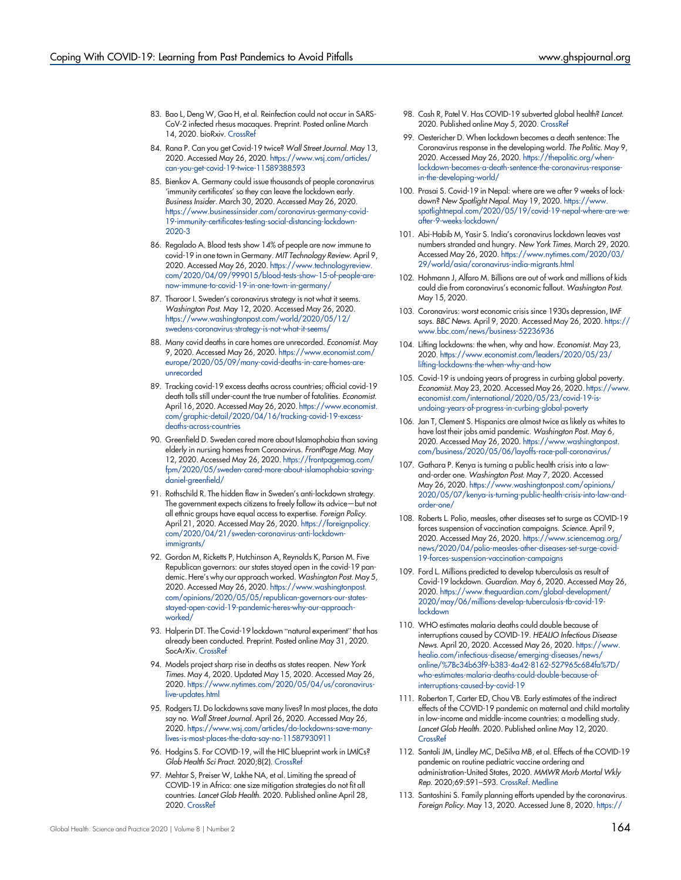- <span id="page-9-0"></span>83. Bao L, Deng W, Gao H, et al. Reinfection could not occur in SARS-CoV-2 infected rhesus macaques. Preprint. Posted online March 14, 2020. bioRxiv. [CrossRef](https://doi.org/10.1101/2020.03.13.990226)
- <span id="page-9-1"></span>84. Rana P. Can you get Covid-19 twice? Wall Street Journal. May 13, 2020. Accessed May 26, 2020. [https://www.wsj.com/articles/](https://www.wsj.com/articles/can-you-get-covid-19-twice-11589388593) [can-you-get-covid-19-twice-11589388593](https://www.wsj.com/articles/can-you-get-covid-19-twice-11589388593)
- <span id="page-9-2"></span>85. Bienkov A. Germany could issue thousands of people coronavirus 'immunity certificates' so they can leave the lockdown early. Business Insider. March 30, 2020. Accessed May 26, 2020. [https://www.businessinsider.com/coronavirus-germany-covid-](https://www.businessinsider.com/coronavirus-germany-covid-19-immunity-certificates-testing-social-distancing-lockdown-2020-3)[19-immunity-certificates-testing-social-distancing-lockdown-](https://www.businessinsider.com/coronavirus-germany-covid-19-immunity-certificates-testing-social-distancing-lockdown-2020-3)[2020-3](https://www.businessinsider.com/coronavirus-germany-covid-19-immunity-certificates-testing-social-distancing-lockdown-2020-3)
- <span id="page-9-3"></span>86. Regalado A. Blood tests show 14% of people are now immune to covid-19 in one town in Germany. MIT Technology Review. April 9, 2020. Accessed May 26, 2020. [https://www.technologyreview.](https://www.technologyreview.com/2020/04/09/999015/blood-tests-show-15-of-people-are-now-immune-to-covid-19-in-one-town-in-germany/) [com/2020/04/09/999015/blood-tests-show-15-of-people-are](https://www.technologyreview.com/2020/04/09/999015/blood-tests-show-15-of-people-are-now-immune-to-covid-19-in-one-town-in-germany/)[now-immune-to-covid-19-in-one-town-in-germany/](https://www.technologyreview.com/2020/04/09/999015/blood-tests-show-15-of-people-are-now-immune-to-covid-19-in-one-town-in-germany/)
- <span id="page-9-4"></span>87. Tharoor I. Sweden's coronavirus strategy is not what it seems. Washington Post. May 12, 2020. Accessed May 26, 2020. [https://www.washingtonpost.com/world/2020/05/12/](https://www.washingtonpost.com/world/2020/05/12/swedens-coronavirus-strategy-is-not-what-it-seems/) [swedens-coronavirus-strategy-is-not-what-it-seems/](https://www.washingtonpost.com/world/2020/05/12/swedens-coronavirus-strategy-is-not-what-it-seems/)
- <span id="page-9-5"></span>88. Many covid deaths in care homes are unrecorded. Economist. May 9, 2020. Accessed May 26, 2020. [https://www.economist.com/](https://www.economist.com/europe/2020/05/09/many-covid-deaths-in-care-homes-are-unrecorded) [europe/2020/05/09/many-covid-deaths-in-care-homes-are](https://www.economist.com/europe/2020/05/09/many-covid-deaths-in-care-homes-are-unrecorded)[unrecorded](https://www.economist.com/europe/2020/05/09/many-covid-deaths-in-care-homes-are-unrecorded)
- <span id="page-9-6"></span>89. Tracking covid-19 excess deaths across countries; official covid-19 death tolls still under-count the true number of fatalities. Economist. April 16, 2020. Accessed May 26, 2020. [https://www.economist.](https://www.economist.com/graphic-detail/2020/04/16/tracking-covid-19-excess-deaths-across-countries) [com/graphic-detail/2020/04/16/tracking-covid-19-excess](https://www.economist.com/graphic-detail/2020/04/16/tracking-covid-19-excess-deaths-across-countries)[deaths-across-countries](https://www.economist.com/graphic-detail/2020/04/16/tracking-covid-19-excess-deaths-across-countries)
- <span id="page-9-7"></span>90. Greenfield D. Sweden cared more about Islamophobia than saving elderly in nursing homes from Coronavirus. FrontPage Mag. May 12, 2020. Accessed May 26, 2020. [https://frontpagemag.com/](https://frontpagemag.com/fpm/2020/05/sweden-cared-more-about-islamophobia-saving-daniel-greenfield/) [fpm/2020/05/sweden-cared-more-about-islamophobia-saving](https://frontpagemag.com/fpm/2020/05/sweden-cared-more-about-islamophobia-saving-daniel-greenfield/)[daniel-greenfield/](https://frontpagemag.com/fpm/2020/05/sweden-cared-more-about-islamophobia-saving-daniel-greenfield/)
- <span id="page-9-8"></span>91. Rothschild R. The hidden flaw in Sweden's anti-lockdown strategy. The government expects citizens to freely follow its advice—but not all ethnic groups have equal access to expertise. Foreign Policy. April 21, 2020. Accessed May 26, 2020. [https://foreignpolicy.](https://foreignpolicy.com/2020/04/21/sweden-coronavirus-anti-lockdown-immigrants/) [com/2020/04/21/sweden-coronavirus-anti-lockdown](https://foreignpolicy.com/2020/04/21/sweden-coronavirus-anti-lockdown-immigrants/)[immigrants/](https://foreignpolicy.com/2020/04/21/sweden-coronavirus-anti-lockdown-immigrants/)
- <span id="page-9-9"></span>92. Gordon M, Ricketts P, Hutchinson A, Reynolds K, Parson M. Five Republican governors: our states stayed open in the covid-19 pandemic. Here's why our approach worked. Washington Post. May 5, 2020. Accessed May 26, 2020. [https://www.washingtonpost.](https://www.washingtonpost.com/opinions/2020/05/05/republican-governors-our-states-stayed-open-covid-19-pandemic-heres-why-our-approach-worked/) [com/opinions/2020/05/05/republican-governors-our-states](https://www.washingtonpost.com/opinions/2020/05/05/republican-governors-our-states-stayed-open-covid-19-pandemic-heres-why-our-approach-worked/)[stayed-open-covid-19-pandemic-heres-why-our-approach](https://www.washingtonpost.com/opinions/2020/05/05/republican-governors-our-states-stayed-open-covid-19-pandemic-heres-why-our-approach-worked/)[worked/](https://www.washingtonpost.com/opinions/2020/05/05/republican-governors-our-states-stayed-open-covid-19-pandemic-heres-why-our-approach-worked/)
- <span id="page-9-10"></span>93. Halperin DT. The Covid-19 lockdown "natural experiment" that has already been conducted. Preprint. Posted online May 31, 2020. SocArXiv. [CrossRef](https://doi.org/10.31235/osf.io/jzhe2)
- <span id="page-9-11"></span>94. Models project sharp rise in deaths as states reopen. New York Times. May 4, 2020. Updated May 15, 2020. Accessed May 26, 2020. [https://www.nytimes.com/2020/05/04/us/coronavirus](https://www.nytimes.com/2020/05/04/us/coronavirus-live-updates.html)[live-updates.html](https://www.nytimes.com/2020/05/04/us/coronavirus-live-updates.html)
- <span id="page-9-12"></span>95. Rodgers TJ. Do lockdowns save many lives? In most places, the data say no. Wall Street Journal. April 26, 2020. Accessed May 26, 2020. [https://www.wsj.com/articles/do-lockdowns-save-many](https://www.wsj.com/articles/do-lockdowns-save-many-lives-is-most-places-the-data-say-no-11587930911)[lives-is-most-places-the-data-say-no-11587930911](https://www.wsj.com/articles/do-lockdowns-save-many-lives-is-most-places-the-data-say-no-11587930911)
- <span id="page-9-13"></span>96. Hodgins S. For COVID-19, will the HIC blueprint work in LMICs? Glob Health Sci Pract. 2020;8(2). [CrossRef](https://doi.org/10.9745/GHSP-D-20-00217)
- 97. Mehtar S, Preiser W, Lakhe NA, et al. Limiting the spread of COVID-19 in Africa: one size mitigation strategies do not fit all countries. Lancet Glob Health. 2020. Published online April 28, 2020. [CrossRef](https://doi.org/10.1016/S2214-109X(20)30212-6)
- 98. Cash R, Patel V. Has COVID-19 subverted global health? Lancet. 2020. Published online May 5, 2020. [CrossRef](https://doi.org/10.1016/S0140-6736(20)31089-8)
- <span id="page-9-15"></span>99. Oestericher D. When lockdown becomes a death sentence: The Coronavirus response in the developing world. The Politic. May 9, 2020. Accessed May 26, 2020. [https://thepolitic.org/when](https://thepolitic.org/when-lockdown-becomes-a-death-sentence-the-coronavirus-response-in-the-developing-world/)[lockdown-becomes-a-death-sentence-the-coronavirus-response](https://thepolitic.org/when-lockdown-becomes-a-death-sentence-the-coronavirus-response-in-the-developing-world/)[in-the-developing-world/](https://thepolitic.org/when-lockdown-becomes-a-death-sentence-the-coronavirus-response-in-the-developing-world/)
- <span id="page-9-14"></span>100. Prasai S. Covid-19 in Nepal: where are we after 9 weeks of lockdown? New Spotlight Nepal. May 19, 2020. [https://www.](https://www.spotlightnepal.com/2020/05/19/covid-19-nepal-where-are-we-after-9-weeks-lockdown/) [spotlightnepal.com/2020/05/19/covid-19-nepal-where-are-we](https://www.spotlightnepal.com/2020/05/19/covid-19-nepal-where-are-we-after-9-weeks-lockdown/)[after-9-weeks-lockdown/](https://www.spotlightnepal.com/2020/05/19/covid-19-nepal-where-are-we-after-9-weeks-lockdown/)
- 101. Abi-Habib M, Yasir S. India's coronavirus lockdown leaves vast numbers stranded and hungry. New York Times. March 29, 2020. Accessed May 26, 2020. [https://www.nytimes.com/2020/03/](https://www.nytimes.com/2020/03/29/world/asia/coronavirus-india-migrants.html) [29/world/asia/coronavirus-india-migrants.html](https://www.nytimes.com/2020/03/29/world/asia/coronavirus-india-migrants.html)
- <span id="page-9-18"></span>102. Hohmann J, Alfaro M. Billions are out of work and millions of kids could die from coronavirus's economic fallout. Washington Post. May 15, 2020.
- 103. Coronavirus: worst economic crisis since 1930s depression, IMF says. BBC News. April 9, 2020. Accessed May 26, 2020. [https://](https://www.bbc.com/news/business-52236936) [www.bbc.com/news/business-52236936](https://www.bbc.com/news/business-52236936)
- 104. Lifting lockdowns: the when, why and how. Economist. May 23, 2020. [https://www.economist.com/leaders/2020/05/23/](https://www.economist.com/leaders/2020/05/23/lifting-lockdowns-the-when-why-and-how) [lifting-lockdowns-the-when-why-and-how](https://www.economist.com/leaders/2020/05/23/lifting-lockdowns-the-when-why-and-how)
- <span id="page-9-16"></span>105. Covid-19 is undoing years of progress in curbing global poverty. Economist. May 23, 2020. Accessed May 26, 2020. [https://www.](https://www.economist.com/international/2020/05/23/covid-19-is-undoing-years-of-progress-in-curbing-global-poverty) [economist.com/international/2020/05/23/covid-19-is](https://www.economist.com/international/2020/05/23/covid-19-is-undoing-years-of-progress-in-curbing-global-poverty)[undoing-years-of-progress-in-curbing-global-poverty](https://www.economist.com/international/2020/05/23/covid-19-is-undoing-years-of-progress-in-curbing-global-poverty)
- <span id="page-9-17"></span>106. Jan T, Clement S. Hispanics are almost twice as likely as whites to have lost their jobs amid pandemic. Washington Post. May 6, 2020. Accessed May 26, 2020. [https://www.washingtonpost.](https://www.washingtonpost.com/business/2020/05/06/layoffs-race-poll-coronavirus/) [com/business/2020/05/06/layoffs-race-poll-coronavirus/](https://www.washingtonpost.com/business/2020/05/06/layoffs-race-poll-coronavirus/)
- <span id="page-9-19"></span>107. Gathara P. Kenya is turning a public health crisis into a lawand-order one. Washington Post. May 7, 2020. Accessed May 26, 2020. [https://www.washingtonpost.com/opinions/](https://www.washingtonpost.com/opinions/2020/05/07/kenya-is-turning-public-health-crisis-into-law-and-order-one/) [2020/05/07/kenya-is-turning-public-health-crisis-into-law-and](https://www.washingtonpost.com/opinions/2020/05/07/kenya-is-turning-public-health-crisis-into-law-and-order-one/)[order-one/](https://www.washingtonpost.com/opinions/2020/05/07/kenya-is-turning-public-health-crisis-into-law-and-order-one/)
- <span id="page-9-20"></span>108. Roberts L. Polio, measles, other diseases set to surge as COVID-19 forces suspension of vaccination campaigns. Science. April 9, 2020. Accessed May 26, 2020. [https://www.sciencemag.org/](https://www.sciencemag.org/news/2020/04/polio-measles-other-diseases-set-surge-covid-19-forces-suspension-vaccination-campaigns) [news/2020/04/polio-measles-other-diseases-set-surge-covid-](https://www.sciencemag.org/news/2020/04/polio-measles-other-diseases-set-surge-covid-19-forces-suspension-vaccination-campaigns)[19-forces-suspension-vaccination-campaigns](https://www.sciencemag.org/news/2020/04/polio-measles-other-diseases-set-surge-covid-19-forces-suspension-vaccination-campaigns)
- 109. Ford L. Millions predicted to develop tuberculosis as result of Covid-19 lockdown. Guardian. May 6, 2020. Accessed May 26, 2020. [https://www.theguardian.com/global-development/](https://www.theguardian.com/global-development/2020/may/06/millions-develop-tuberculosis-tb-covid-19-lockdown) [2020/may/06/millions-develop-tuberculosis-tb-covid-19](https://www.theguardian.com/global-development/2020/may/06/millions-develop-tuberculosis-tb-covid-19-lockdown) [lockdown](https://www.theguardian.com/global-development/2020/may/06/millions-develop-tuberculosis-tb-covid-19-lockdown)
- 110. WHO estimates malaria deaths could double because of interruptions caused by COVID-19. HEALIO Infectious Disease News. April 20, 2020. Accessed May 26, 2020. [https://www.](https://www.healio.com/infectious-disease/emerging-diseases/news/online/%7Bc34b63f9-b383-4a42-8162-527965c684fa%7D/who-estimates-malaria-deaths-could-double-because-of-interruptions-caused-by-covid-19) [healio.com/infectious-disease/emerging-diseases/news/](https://www.healio.com/infectious-disease/emerging-diseases/news/online/%7Bc34b63f9-b383-4a42-8162-527965c684fa%7D/who-estimates-malaria-deaths-could-double-because-of-interruptions-caused-by-covid-19) [online/%7Bc34b63f9-b383-4a42-8162-527965c684fa%7D/](https://www.healio.com/infectious-disease/emerging-diseases/news/online/%7Bc34b63f9-b383-4a42-8162-527965c684fa%7D/who-estimates-malaria-deaths-could-double-because-of-interruptions-caused-by-covid-19) [who-estimates-malaria-deaths-could-double-because-of](https://www.healio.com/infectious-disease/emerging-diseases/news/online/%7Bc34b63f9-b383-4a42-8162-527965c684fa%7D/who-estimates-malaria-deaths-could-double-because-of-interruptions-caused-by-covid-19)[interruptions-caused-by-covid-19](https://www.healio.com/infectious-disease/emerging-diseases/news/online/%7Bc34b63f9-b383-4a42-8162-527965c684fa%7D/who-estimates-malaria-deaths-could-double-because-of-interruptions-caused-by-covid-19)
- 111. Roberton T, Carter ED, Chou VB. Early estimates of the indirect effects of the COVID-19 pandemic on maternal and child mortality in low-income and middle-income countries: a modelling study. Lancet Glob Health. 2020. Published online May 12, 2020. **[CrossRef](https://doi.org/10.1016/S2214-109X(20)30229-1)**
- 112. Santoli JM, Lindley MC, DeSilva MB, et al. Effects of the COVID-19 pandemic on routine pediatric vaccine ordering and administration-United States, 2020. MMWR Morb Mortal Wkly Rep. 2020;69:591–593. [CrossRef.](https://doi.org/10.15585/mmwr.mm6919e2) [Medline](http://www.ncbi.nlm.nih.gov/pubmed/32407298)
- <span id="page-9-21"></span>113. Santoshini S. Family planning efforts upended by the coronavirus. Foreign Policy. May 13, 2020. Accessed June 8, 2020. [https://](https://foreignpolicy.com/2020/05/13/india-family-planning-upended-coronavirus-women-sexual-reproductive-health/)